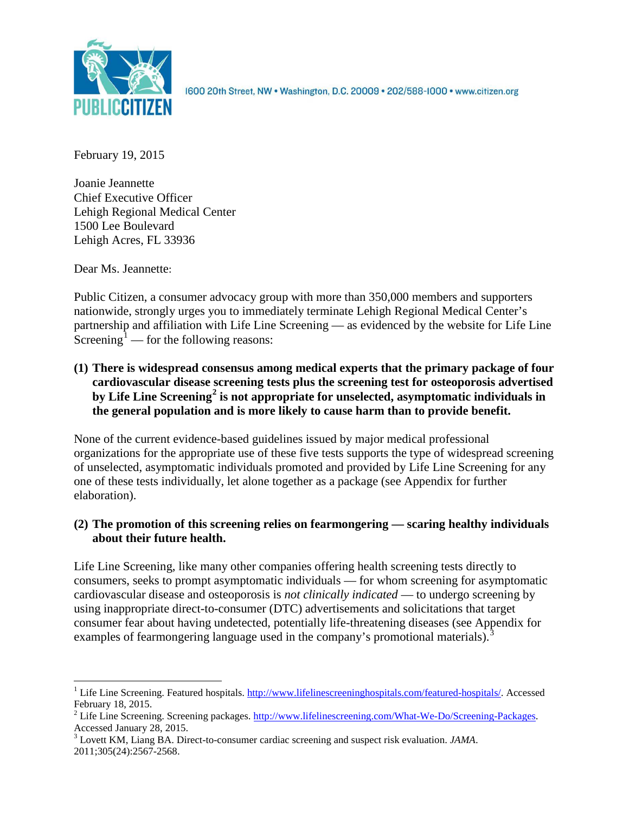

1600 20th Street, NW . Washington, D.C. 20009 . 202/588-1000 . www.citizen.org

February 19, 2015

Joanie Jeannette Chief Executive Officer Lehigh Regional Medical Center 1500 Lee Boulevard Lehigh Acres, FL 33936

Dear Ms. Jeannette:

Public Citizen, a consumer advocacy group with more than 350,000 members and supporters nationwide, strongly urges you to immediately terminate Lehigh Regional Medical Center's partnership and affiliation with Life Line Screening — as evidenced by the website for Life Line Screening<sup>[1](#page-0-0)</sup> — for the following reasons:

# **(1) There is widespread consensus among medical experts that the primary package of four cardiovascular disease screening tests plus the screening test for osteoporosis advertised by Life Line Screening[2](#page-0-1) is not appropriate for unselected, asymptomatic individuals in the general population and is more likely to cause harm than to provide benefit.**

None of the current evidence-based guidelines issued by major medical professional organizations for the appropriate use of these five tests supports the type of widespread screening of unselected, asymptomatic individuals promoted and provided by Life Line Screening for any one of these tests individually, let alone together as a package (see Appendix for further elaboration).

# **(2) The promotion of this screening relies on fearmongering — scaring healthy individuals about their future health.**

Life Line Screening, like many other companies offering health screening tests directly to consumers, seeks to prompt asymptomatic individuals — for whom screening for asymptomatic cardiovascular disease and osteoporosis is *not clinically indicated* — to undergo screening by using inappropriate direct-to-consumer (DTC) advertisements and solicitations that target consumer fear about having undetected, potentially life-threatening diseases (see Appendix for examples of fearmongering language used in the company's promotional materials).<sup>[3](#page-0-2)</sup>

<span id="page-0-0"></span><sup>&</sup>lt;sup>1</sup> Life Line Screening. Featured hospitals. [http://www.lifelinescreeninghospitals.com/featured-hospitals/.](http://www.lifelinescreeninghospitals.com/featured-hospitals/) Accessed

<span id="page-0-1"></span>February 18, 2015.<br><sup>2</sup> Life Line Screening. Screening packages. [http://www.lifelinescreening.com/What-We-Do/Screening-Packages.](http://www.lifelinescreening.com/What-We-Do/Screening-Packages)<br>Accessed January 28, 2015.

<span id="page-0-2"></span><sup>&</sup>lt;sup>3</sup> Lovett KM, Liang BA. Direct-to-consumer cardiac screening and suspect risk evaluation. *JAMA*. 2011;305(24):2567-2568.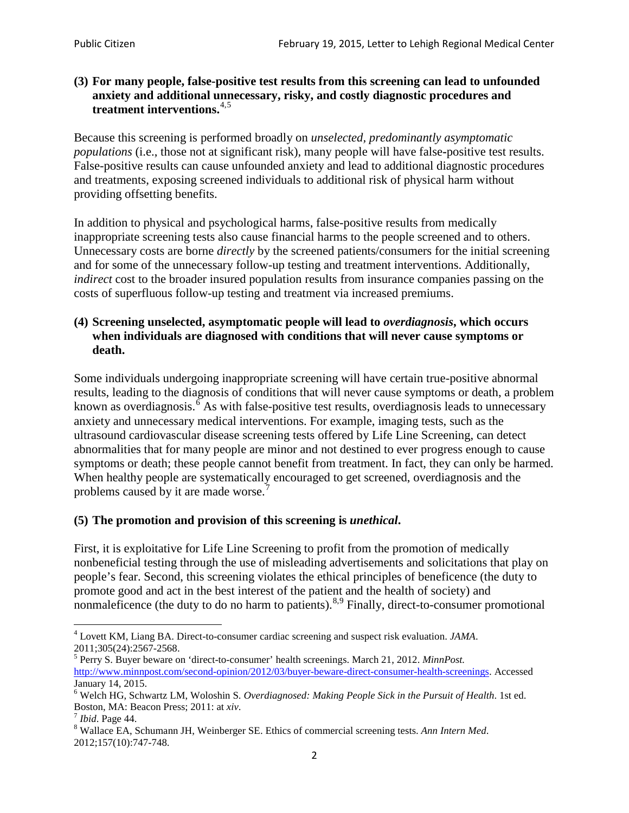### **(3) For many people, false-positive test results from this screening can lead to unfounded anxiety and additional unnecessary, risky, and costly diagnostic procedures and treatment interventions.**[4](#page-1-0),[5](#page-1-1)

Because this screening is performed broadly on *unselected, predominantly asymptomatic populations* (i.e., those not at significant risk), many people will have false**-**positive test results. False-positive results can cause unfounded anxiety and lead to additional diagnostic procedures and treatments, exposing screened individuals to additional risk of physical harm without providing offsetting benefits.

In addition to physical and psychological harms, false-positive results from medically inappropriate screening tests also cause financial harms to the people screened and to others. Unnecessary costs are borne *directly* by the screened patients/consumers for the initial screening and for some of the unnecessary follow-up testing and treatment interventions. Additionally, *indirect* cost to the broader insured population results from insurance companies passing on the costs of superfluous follow-up testing and treatment via increased premiums.

### **(4) Screening unselected, asymptomatic people will lead to** *overdiagnosis***, which occurs when individuals are diagnosed with conditions that will never cause symptoms or death.**

Some individuals undergoing inappropriate screening will have certain true-positive abnormal results, leading to the diagnosis of conditions that will never cause symptoms or death, a problem known as overdiagnosis.<sup>[6](#page-1-2)</sup> As with false-positive test results, overdiagnosis leads to unnecessary anxiety and unnecessary medical interventions. For example, imaging tests, such as the ultrasound cardiovascular disease screening tests offered by Life Line Screening, can detect abnormalities that for many people are minor and not destined to ever progress enough to cause symptoms or death; these people cannot benefit from treatment. In fact, they can only be harmed. When healthy people are systematically encouraged to get screened, overdiagnosis and the problems caused by it are made worse.<sup>[7](#page-1-3)</sup>

# **(5) The promotion and provision of this screening is** *unethical***.**

First, it is exploitative for Life Line Screening to profit from the promotion of medically nonbeneficial testing through the use of misleading advertisements and solicitations that play on people's fear. Second, this screening violates the ethical principles of beneficence (the duty to promote good and act in the best interest of the patient and the health of society) and nonmaleficence (the duty to do no harm to patients).  $8.9$  $8.9$  $8.9$  Finally, direct-to-consumer promotional

<span id="page-1-4"></span>2012;157(10):747-748.

<span id="page-1-5"></span><span id="page-1-0"></span><sup>4</sup> Lovett KM, Liang BA. Direct-to-consumer cardiac screening and suspect risk evaluation. *JAMA*.

<span id="page-1-1"></span><sup>2011;305(24):2567-2568.</sup> <sup>5</sup> Perry S. Buyer beware on 'direct-to-consumer' health screenings. March 21, 2012. *MinnPost.*  [http://www.minnpost.com/second-opinion/2012/03/buyer-beware-direct-consumer-health-screenings.](http://www.minnpost.com/second-opinion/2012/03/buyer-beware-direct-consumer-health-screenings) Accessed January 14, 2015.

<span id="page-1-2"></span><sup>6</sup> Welch HG, Schwartz LM, Woloshin S. *Overdiagnosed: Making People Sick in the Pursuit of Health*. 1st ed. Boston, MA: Beacon Press; 2011: at *xiv*.<br><sup>7</sup> *Ibid*. Page 44.<br><sup>8</sup> Wallace EA, Schumann JH, Weinberger SE. Ethics of commercial screening tests. *Ann Intern Med*.

<span id="page-1-3"></span>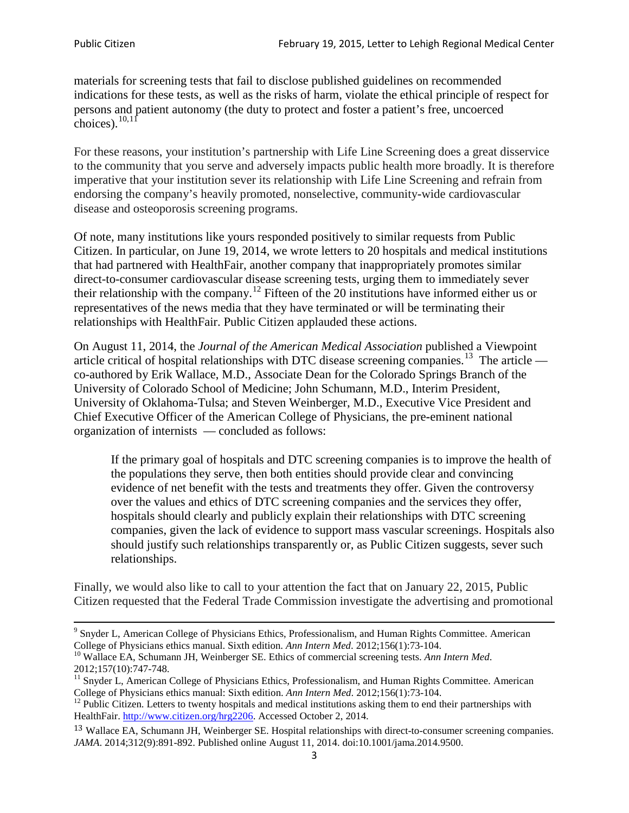materials for screening tests that fail to disclose published guidelines on recommended indications for these tests, as well as the risks of harm, violate the ethical principle of respect for persons and patient autonomy (the duty to protect and foster a patient's free, uncoerced choices). $\frac{10,11}{10,11}$  $\frac{10,11}{10,11}$  $\frac{10,11}{10,11}$  $\frac{10,11}{10,11}$ 

For these reasons, your institution's partnership with Life Line Screening does a great disservice to the community that you serve and adversely impacts public health more broadly. It is therefore imperative that your institution sever its relationship with Life Line Screening and refrain from endorsing the company's heavily promoted, nonselective, community**-**wide cardiovascular disease and osteoporosis screening programs.

Of note, many institutions like yours responded positively to similar requests from Public Citizen. In particular, on June 19, 2014, we wrote letters to 20 hospitals and medical institutions that had partnered with HealthFair, another company that inappropriately promotes similar direct-to-consumer cardiovascular disease screening tests, urging them to immediately sever their relationship with the company. [12](#page-2-2) Fifteen of the 20 institutions have informed either us or representatives of the news media that they have terminated or will be terminating their relationships with HealthFair. Public Citizen applauded these actions.

On August 11, 2014, the *Journal of the American Medical Association* published a Viewpoint article critical of hospital relationships with DTC disease screening companies.<sup>13</sup> The article co-authored by Erik Wallace, M.D., Associate Dean for the Colorado Springs Branch of the University of Colorado School of Medicine; John Schumann, M.D., Interim President, University of Oklahoma-Tulsa; and Steven Weinberger, M.D., Executive Vice President and Chief Executive Officer of the American College of Physicians, the pre**-**eminent national organization of internists — concluded as follows:

If the primary goal of hospitals and DTC screening companies is to improve the health of the populations they serve, then both entities should provide clear and convincing evidence of net benefit with the tests and treatments they offer. Given the controversy over the values and ethics of DTC screening companies and the services they offer, hospitals should clearly and publicly explain their relationships with DTC screening companies, given the lack of evidence to support mass vascular screenings. Hospitals also should justify such relationships transparently or, as Public Citizen suggests, sever such relationships.

Finally, we would also like to call to your attention the fact that on January 22, 2015, Public Citizen requested that the Federal Trade Commission investigate the advertising and promotional

<sup>&</sup>lt;sup>9</sup> Snyder L, American College of Physicians Ethics, Professionalism, and Human Rights Committee. American College of Physicians ethics manual. Sixth edition. Ann Intern Med. 2012;156(1):73-104.

<span id="page-2-0"></span><sup>&</sup>lt;sup>10</sup> Wallace EA, Schumann JH, Weinberger SE. Ethics of commercial screening tests. *Ann Intern Med*. 2012;157(10):747-748.

<span id="page-2-1"></span> $11$  Snyder L, American College of Physicians Ethics, Professionalism, and Human Rights Committee. American College of Physicians ethics manual: Sixth edition. *Ann Intern Med*. 2012;156(1):73-104.<br><sup>12</sup> Public Citizen. Letters to twenty hospitals and medical institutions asking them to end their partnerships with

<span id="page-2-2"></span>HealthFair. [http://www.citizen.org/hrg2206.](http://www.citizen.org/hrg2206) Accessed October 2, 2014.

<span id="page-2-3"></span><sup>13</sup> Wallace EA, Schumann JH, Weinberger SE. Hospital relationships with direct-to-consumer screening companies. *JAMA*. 2014;312(9):891-892. Published online August 11, 2014. doi:10.1001/jama.2014.9500.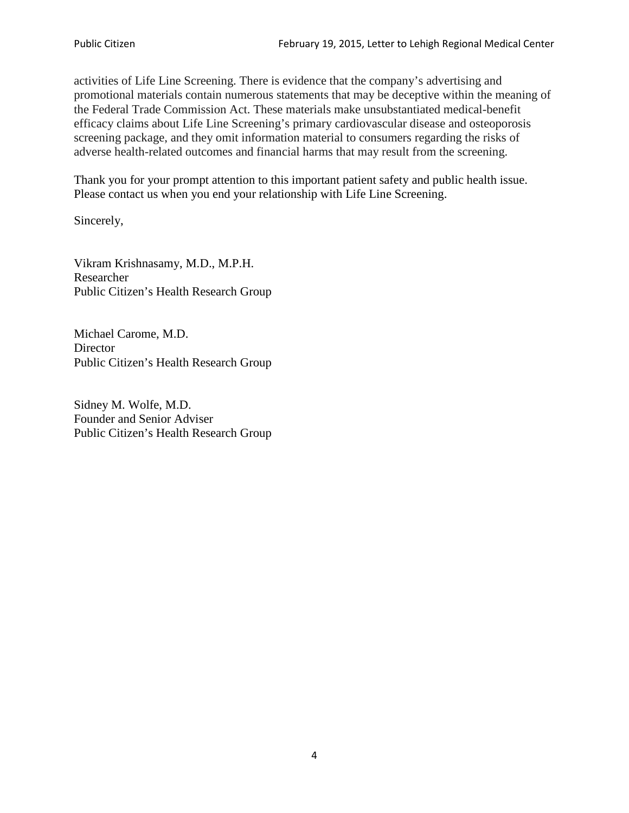activities of Life Line Screening. There is evidence that the company's advertising and promotional materials contain numerous statements that may be deceptive within the meaning of the Federal Trade Commission Act. These materials make unsubstantiated medical-benefit efficacy claims about Life Line Screening's primary cardiovascular disease and osteoporosis screening package, and they omit information material to consumers regarding the risks of adverse health-related outcomes and financial harms that may result from the screening.

Thank you for your prompt attention to this important patient safety and public health issue. Please contact us when you end your relationship with Life Line Screening.

Sincerely,

Vikram Krishnasamy, M.D., M.P.H. Researcher Public Citizen's Health Research Group

Michael Carome, M.D. **Director** Public Citizen's Health Research Group

Sidney M. Wolfe, M.D. Founder and Senior Adviser Public Citizen's Health Research Group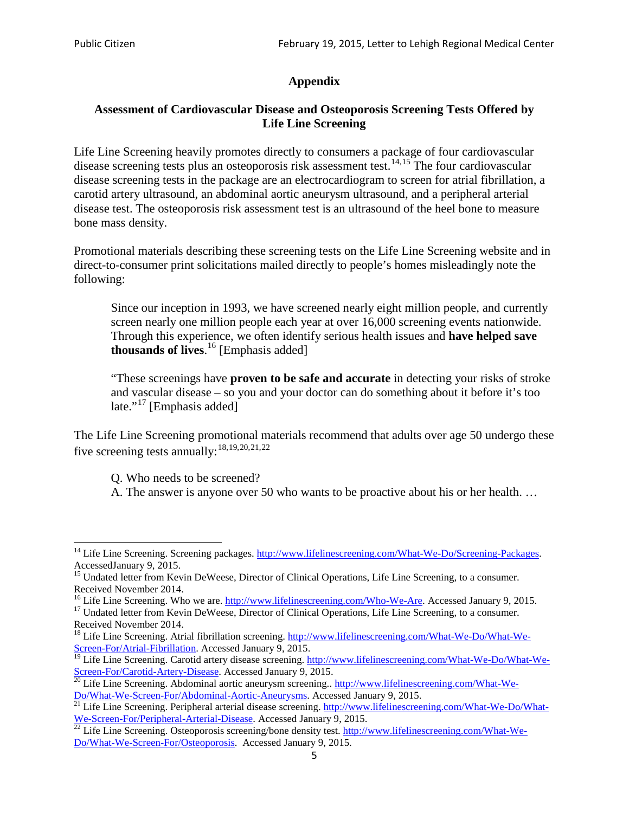# **Appendix**

### **Assessment of Cardiovascular Disease and Osteoporosis Screening Tests Offered by Life Line Screening**

Life Line Screening heavily promotes directly to consumers a package of four cardiovascular disease screening tests plus an osteoporosis risk assessment test.<sup>[14](#page-4-0),[15](#page-4-1)</sup> The four cardiovascular disease screening tests in the package are an electrocardiogram to screen for atrial fibrillation, a carotid artery ultrasound, an abdominal aortic aneurysm ultrasound, and a peripheral arterial disease test. The osteoporosis risk assessment test is an ultrasound of the heel bone to measure bone mass density.

Promotional materials describing these screening tests on the Life Line Screening website and in direct-to-consumer print solicitations mailed directly to people's homes misleadingly note the following:

Since our inception in 1993, we have screened nearly eight million people, and currently screen nearly one million people each year at over 16,000 screening events nationwide. Through this experience, we often identify serious health issues and **have helped save thousands of lives**. [16](#page-4-2) [Emphasis added]

"These screenings have **proven to be safe and accurate** in detecting your risks of stroke and vascular disease – so you and your doctor can do something about it before it's too late."<sup>[17](#page-4-3)</sup> [Emphasis added]

The Life Line Screening promotional materials recommend that adults over age 50 undergo these five screening tests annually:<sup>[18](#page-4-4),[19,](#page-4-5)[20,](#page-4-6)[21](#page-4-7),[22](#page-4-8)</sup>

Q. Who needs to be screened?

A. The answer is anyone over 50 who wants to be proactive about his or her health. …

<span id="page-4-2"></span>Received November 2014.<br><sup>16</sup> Life Line Screening. Who we are. http://www.lifelinescreening.com/Who-We-Are. Accessed January 9, 2015.

<span id="page-4-3"></span><sup>17</sup> Undated letter from Kevin DeWeese, Director of Clinical Operations, Life Line Screening, to a consumer. Received November 2014.

<span id="page-4-0"></span><sup>&</sup>lt;sup>14</sup> Life Line Screening. Screening packages. [http://www.lifelinescreening.com/What-We-Do/Screening-Packages.](http://www.lifelinescreening.com/What-We-Do/Screening-Packages) AccessedJanuary 9, 2015.

<span id="page-4-1"></span><sup>&</sup>lt;sup>15</sup> Undated letter from Kevin DeWeese, Director of Clinical Operations, Life Line Screening, to a consumer.

<span id="page-4-4"></span><sup>&</sup>lt;sup>18</sup> Life Line Screening. Atrial fibrillation screening. [http://www.lifelinescreening.com/What-We-Do/What-We-](http://www.lifelinescreening.com/What-We-Do/What-We-Screen-For/Atrial-Fibrillation)[Screen-For/Atrial-Fibrillation.](http://www.lifelinescreening.com/What-We-Do/What-We-Screen-For/Atrial-Fibrillation) Accessed January 9, 2015.

<sup>&</sup>lt;sup>19</sup> Life Line Screening. Carotid artery disease screening. [http://www.lifelinescreening.com/What-We-Do/What-We-](http://www.lifelinescreening.com/What-We-Do/What-We-Screen-For/Carotid-Artery-Disease)

<span id="page-4-6"></span><span id="page-4-5"></span>[Screen-For/Carotid-Artery-Disease.](http://www.lifelinescreening.com/What-We-Do/What-We-Screen-For/Carotid-Artery-Disease) Accessed January 9, 2015.<br><sup>20</sup> Life Line Screening. Abdominal aortic aneurysm screening.. http://www.lifelinescreening.com/What-We-Do/What-We-Do/What-We-Screen-For/Abdominal-Aortic-Aneury

<span id="page-4-7"></span><sup>&</sup>lt;sup>21</sup> Life Line Screening. Peripheral arterial disease screening. [http://www.lifelinescreening.com/What-We-Do/What-](http://www.lifelinescreening.com/What-We-Do/What-We-Screen-For/Peripheral-Arterial-Disease)

<span id="page-4-8"></span>[We-Screen-For/Peripheral-Arterial-Disease.](http://www.lifelinescreening.com/What-We-Do/What-We-Screen-For/Peripheral-Arterial-Disease) Accessed January 9, 2015.<br><sup>22</sup> Life Line Screening. Osteoporosis screening/bone density test. [http://www.lifelinescreening.com/What-We-](http://www.lifelinescreening.com/What-We-Do/What-We-Screen-For/Osteoporosis)[Do/What-We-Screen-For/Osteoporosis.](http://www.lifelinescreening.com/What-We-Do/What-We-Screen-For/Osteoporosis) Accessed January 9, 2015.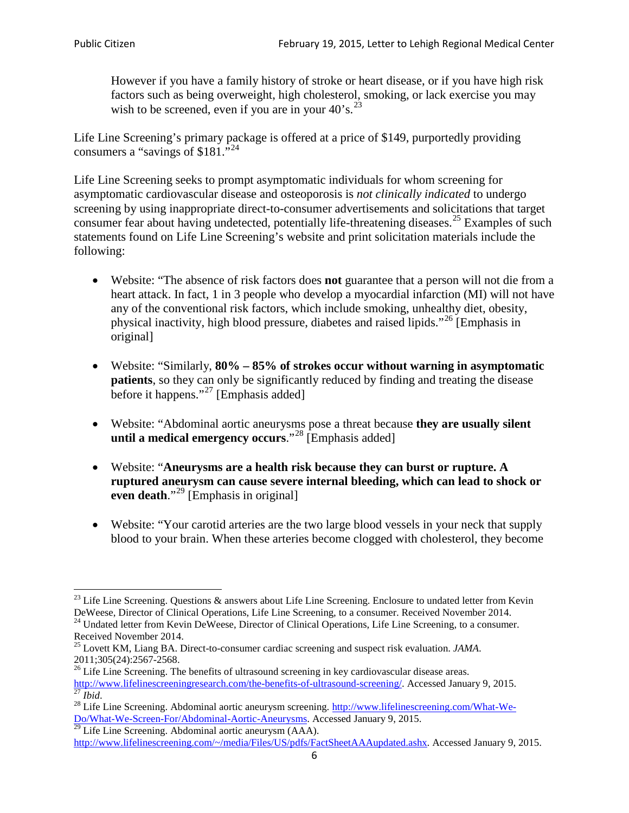However if you have a family history of stroke or heart disease, or if you have high risk factors such as being overweight, high cholesterol, smoking, or lack exercise you may wish to be screened, even if you are in your  $40^\circ$ s.<sup>[23](#page-5-0)</sup>

Life Line Screening's primary package is offered at a price of \$149, purportedly providing consumers a "savings of \$181."[24](#page-5-1)

Life Line Screening seeks to prompt asymptomatic individuals for whom screening for asymptomatic cardiovascular disease and osteoporosis is *not clinically indicated* to undergo screening by using inappropriate direct-to-consumer advertisements and solicitations that target consumer fear about having undetected, potentially life-threatening diseases.<sup>[25](#page-5-2)</sup> Examples of such statements found on Life Line Screening's website and print solicitation materials include the following:

- Website: "The absence of risk factors does **not** guarantee that a person will not die from a heart attack. In fact, 1 in 3 people who develop a myocardial infarction (MI) will not have any of the conventional risk factors, which include smoking, unhealthy diet, obesity, physical inactivity, high blood pressure, diabetes and raised lipids."[26](#page-5-3) [Emphasis in original]
- Website: "Similarly, **80% – 85% of strokes occur without warning in asymptomatic patients**, so they can only be significantly reduced by finding and treating the disease before it happens."<sup>[27](#page-5-4)</sup> [Emphasis added]
- Website: "Abdominal aortic aneurysms pose a threat because **they are usually silent until a medical emergency occurs**."[28](#page-5-5) [Emphasis added]
- Website: "**Aneurysms are a health risk because they can burst or rupture. A ruptured aneurysm can cause severe internal bleeding, which can lead to shock or even death.**"<sup>[29](#page-5-6)</sup> [Emphasis in original]
- Website: "Your carotid arteries are the two large blood vessels in your neck that supply blood to your brain. When these arteries become clogged with cholesterol, they become

<span id="page-5-0"></span><sup>&</sup>lt;sup>23</sup> Life Line Screening. Questions  $\&$  answers about Life Line Screening. Enclosure to undated letter from Kevin DeWeese, Director of Clinical Operations, Life Line Screening, to a consumer. Received November 2014.

<span id="page-5-1"></span><sup>&</sup>lt;sup>24</sup> Undated letter from Kevin DeWeese, Director of Clinical Operations, Life Line Screening, to a consumer. Received November 2014.

<span id="page-5-2"></span><sup>25</sup> Lovett KM, Liang BA. Direct-to-consumer cardiac screening and suspect risk evaluation. *JAMA*.  $2011;305(24):2567-2568$ .<br><sup>26</sup> Life Line Screening. The benefits of ultrasound screening in key cardiovascular disease areas.

<span id="page-5-3"></span>[http://www.lifelinescreeningresearch.com/the-benefits-of-ultrasound-screening/.](http://www.lifelinescreeningresearch.com/the-benefits-of-ultrasound-screening/) Accessed January 9, 2015.<br><sup>28</sup> Life Line Screening. Abdominal aortic aneurysm screening. http://www.lifelinescreening.com/What-We-<sup>28</sup>

<span id="page-5-5"></span><span id="page-5-4"></span>[Do/What-We-Screen-For/Abdominal-Aortic-Aneurysms.](http://www.lifelinescreening.com/What-We-Do/What-We-Screen-For/Abdominal-Aortic-Aneurysms) Accessed January 9, 2015. <sup>29</sup> Life Line Screening. Abdominal aortic aneurysm (AAA).

<span id="page-5-6"></span>[http://www.lifelinescreening.com/~/media/Files/US/pdfs/FactSheetAAAupdated.ashx.](http://www.lifelinescreening.com/~/media/Files/US/pdfs/FactSheetAAAupdated.ashx) Accessed January 9, 2015.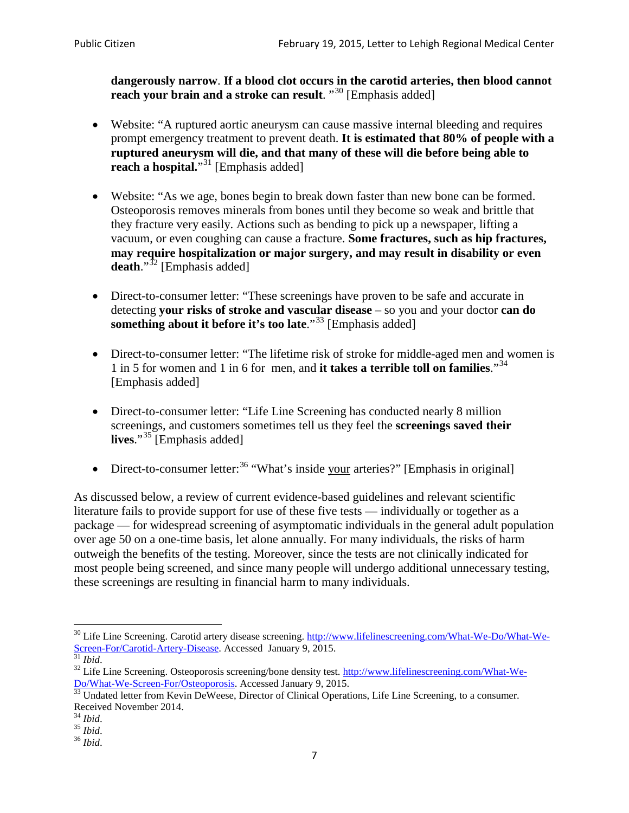**dangerously narrow**. **If a blood clot occurs in the carotid arteries, then blood cannot reach your brain and a stroke can result**. "<sup>[30](#page-6-0)</sup> [Emphasis added]

- Website: "A ruptured aortic aneurysm can cause massive internal bleeding and requires prompt emergency treatment to prevent death. **It is estimated that 80% of people with a ruptured aneurysm will die, and that many of these will die before being able to reach a hospital.**"<sup>[31](#page-6-1)</sup> [Emphasis added]
- Website: "As we age, bones begin to break down faster than new bone can be formed. Osteoporosis removes minerals from bones until they become so weak and brittle that they fracture very easily. Actions such as bending to pick up a newspaper, lifting a vacuum, or even coughing can cause a fracture. **Some fractures, such as hip fractures, may require hospitalization or major surgery, and may result in disability or even**  death."<sup>[32](#page-6-2)</sup> [Emphasis added]
- Direct-to-consumer letter: "These screenings have proven to be safe and accurate in detecting **your risks of stroke and vascular disease** – so you and your doctor **can do something about it before it's too late**."<sup>[33](#page-6-3)</sup> [Emphasis added]
- Direct-to-consumer letter: "The lifetime risk of stroke for middle-aged men and women is 1 in 5 for women and 1 in 6 for men, and **it takes a terrible toll on families**."[34](#page-6-4) [Emphasis added]
- Direct-to-consumer letter: "Life Line Screening has conducted nearly 8 million screenings, and customers sometimes tell us they feel the **screenings saved their lives**."[35](#page-6-5) [Emphasis added]
- Direct-to-consumer letter:  $36$  "What's inside your arteries?" [Emphasis in original]

As discussed below, a review of current evidence-based guidelines and relevant scientific literature fails to provide support for use of these five tests — individually or together as a package — for widespread screening of asymptomatic individuals in the general adult population over age 50 on a one-time basis, let alone annually. For many individuals, the risks of harm outweigh the benefits of the testing. Moreover, since the tests are not clinically indicated for most people being screened, and since many people will undergo additional unnecessary testing, these screenings are resulting in financial harm to many individuals.

<span id="page-6-0"></span><sup>&</sup>lt;sup>30</sup> Life Line Screening. Carotid artery disease screening. [http://www.lifelinescreening.com/What-We-Do/What-We-](http://www.lifelinescreening.com/What-We-Do/What-We-Screen-For/Carotid-Artery-Disease)[Screen-For/Carotid-Artery-Disease.](http://www.lifelinescreening.com/What-We-Do/What-We-Screen-For/Carotid-Artery-Disease) Accessed January 9, 2015.<br><sup>31</sup> *Ibid.* 32 Life Line Screening. Osteoporosis screening/bone density test. [http://www.lifelinescreening.com/What-We-](http://www.lifelinescreening.com/What-We-Do/What-We-Screen-For/Osteoporosis)

<span id="page-6-2"></span><span id="page-6-1"></span>[Do/What-We-Screen-For/Osteoporosis.](http://www.lifelinescreening.com/What-We-Do/What-We-Screen-For/Osteoporosis) Accessed January 9, 2015. <sup>33</sup> Undated letter from Kevin DeWeese, Director of Clinical Operations, Life Line Screening, to a consumer.

<span id="page-6-3"></span>Received November 2014.<br><sup>34</sup> Ibid.

<span id="page-6-4"></span>

<span id="page-6-5"></span><sup>34</sup> *Ibid*. 35 *Ibid*. 36 *Ibid*.

<span id="page-6-6"></span>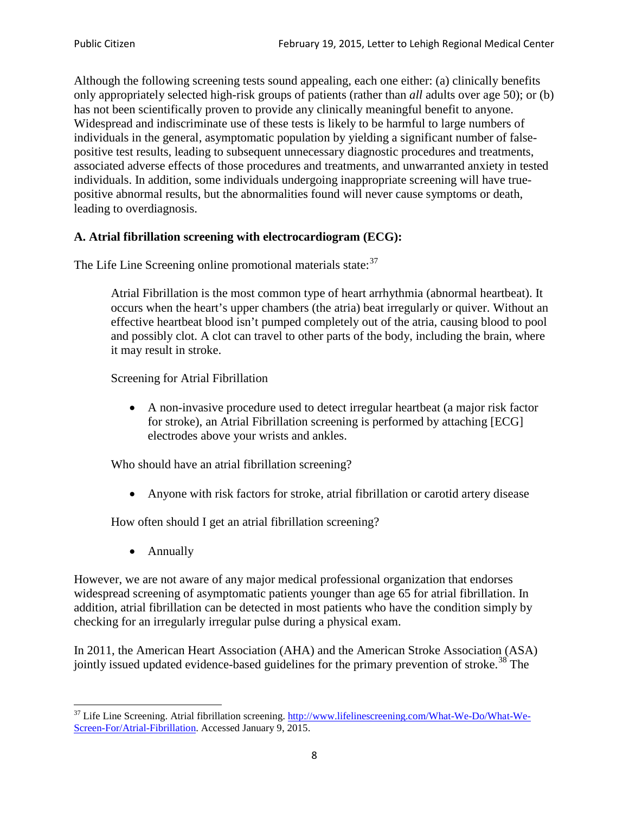Although the following screening tests sound appealing, each one either: (a) clinically benefits only appropriately selected high-risk groups of patients (rather than *all* adults over age 50); or (b) has not been scientifically proven to provide any clinically meaningful benefit to anyone. Widespread and indiscriminate use of these tests is likely to be harmful to large numbers of individuals in the general, asymptomatic population by yielding a significant number of falsepositive test results, leading to subsequent unnecessary diagnostic procedures and treatments, associated adverse effects of those procedures and treatments, and unwarranted anxiety in tested individuals. In addition, some individuals undergoing inappropriate screening will have truepositive abnormal results, but the abnormalities found will never cause symptoms or death, leading to overdiagnosis.

# **A. Atrial fibrillation screening with electrocardiogram (ECG):**

The Life Line Screening online promotional materials state:<sup>[37](#page-7-0)</sup>

Atrial Fibrillation is the most common type of heart arrhythmia (abnormal heartbeat). It occurs when the heart's upper chambers (the atria) beat irregularly or quiver. Without an effective heartbeat blood isn't pumped completely out of the atria, causing blood to pool and possibly clot. A clot can travel to other parts of the body, including the brain, where it may result in stroke.

Screening for Atrial Fibrillation

• A non-invasive procedure used to detect irregular heartbeat (a major risk factor for stroke), an Atrial Fibrillation screening is performed by attaching [ECG] electrodes above your wrists and ankles.

Who should have an atrial fibrillation screening?

• Anyone with risk factors for stroke, atrial fibrillation or carotid artery disease

How often should I get an atrial fibrillation screening?

• Annually

<span id="page-7-1"></span>However, we are not aware of any major medical professional organization that endorses widespread screening of asymptomatic patients younger than age 65 for atrial fibrillation. In addition, atrial fibrillation can be detected in most patients who have the condition simply by checking for an irregularly irregular pulse during a physical exam.

In 2011, the American Heart Association (AHA) and the American Stroke Association (ASA) jointly issued updated evidence-based guidelines for the primary prevention of stroke.<sup>[38](#page-7-1)</sup> The

<span id="page-7-0"></span><sup>&</sup>lt;sup>37</sup> Life Line Screening. Atrial fibrillation screening. [http://www.lifelinescreening.com/What-We-Do/What-We-](http://www.lifelinescreening.com/What-We-Do/What-We-Screen-For/Atrial-Fibrillation)[Screen-For/Atrial-Fibrillation.](http://www.lifelinescreening.com/What-We-Do/What-We-Screen-For/Atrial-Fibrillation) Accessed January 9, 2015.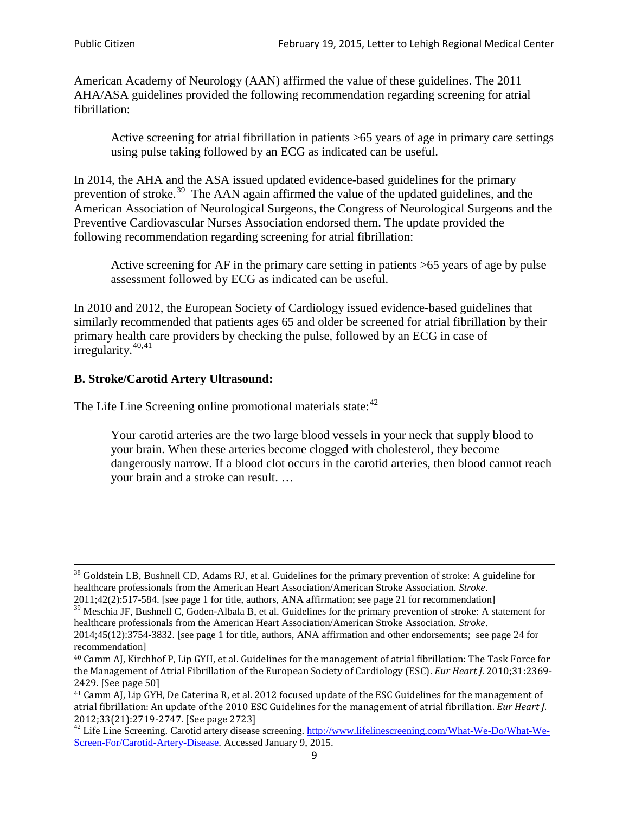American Academy of Neurology (AAN) affirmed the value of these guidelines. The 2011 AHA/ASA guidelines provided the following recommendation regarding screening for atrial fibrillation:

Active screening for atrial fibrillation in patients >65 years of age in primary care settings using pulse taking followed by an ECG as indicated can be useful.

In 2014, the AHA and the ASA issued updated evidence-based guidelines for the primary prevention of stroke.<sup>[39](#page-8-0)</sup> The AAN again affirmed the value of the updated guidelines, and the American Association of Neurological Surgeons, the Congress of Neurological Surgeons and the Preventive Cardiovascular Nurses Association endorsed them. The update provided the following recommendation regarding screening for atrial fibrillation:

Active screening for AF in the primary care setting in patients >65 years of age by pulse assessment followed by ECG as indicated can be useful.

In 2010 and 2012, the European Society of Cardiology issued evidence-based guidelines that similarly recommended that patients ages 65 and older be screened for atrial fibrillation by their primary health care providers by checking the pulse, followed by an ECG in case of irregularity. $40,41$  $40,41$ 

# **B. Stroke/Carotid Artery Ultrasound:**

The Life Line Screening online promotional materials state:<sup>[42](#page-8-3)</sup>

Your carotid arteries are the two large blood vessels in your neck that supply blood to your brain. When these arteries become clogged with cholesterol, they become dangerously narrow. If a blood clot occurs in the carotid arteries, then blood cannot reach your brain and a stroke can result. …

<sup>&</sup>lt;sup>38</sup> Goldstein LB, Bushnell CD, Adams RJ, et al. Guidelines for the primary prevention of stroke: A guideline for healthcare professionals from the American Heart Association/American Stroke Association. *Stroke*.

<sup>2011;42(2):517-584.</sup> [see page 1 for title, authors, ANA affirmation; see page 21 for recommendation]

<span id="page-8-0"></span> $\frac{2011,42(2)(317,601)}{39}$  Meschia JF, Bushnell C, Goden-Albala B, et al. Guidelines for the primary prevention of stroke: A statement for healthcare professionals from the American Heart Association/American Stroke Association. *Stroke*.

<sup>2014;45(12):3754-3832.</sup> [see page 1 for title, authors, ANA affirmation and other endorsements; see page 24 for recommendation]

<span id="page-8-1"></span><sup>40</sup> Camm AJ, Kirchhof P, Lip GYH, et al. Guidelines for the management of atrial fibrillation: The Task Force for the Management of Atrial Fibrillation of the European Society of Cardiology (ESC). *Eur Heart J*. 2010;31:2369- 2429. [See page 50]

<span id="page-8-2"></span><sup>41</sup> Camm AJ, Lip GYH, De Caterina R, et al. 2012 focused update of the ESC Guidelines for the management of atrial fibrillation: An update of the 2010 ESC Guidelines for the management of atrial fibrillation. *Eur Heart J*.

<span id="page-8-3"></span><sup>&</sup>lt;sup>2012</sup>;23(21):2719-2747. [See page 273] 42 Life Line Screening. [http://www.lifelinescreening.com/What-We-Do/What-We-](http://www.lifelinescreening.com/What-We-Do/What-We-Screen-For/Carotid-Artery-Disease)[Screen-For/Carotid-Artery-Disease.](http://www.lifelinescreening.com/What-We-Do/What-We-Screen-For/Carotid-Artery-Disease) Accessed January 9, 2015.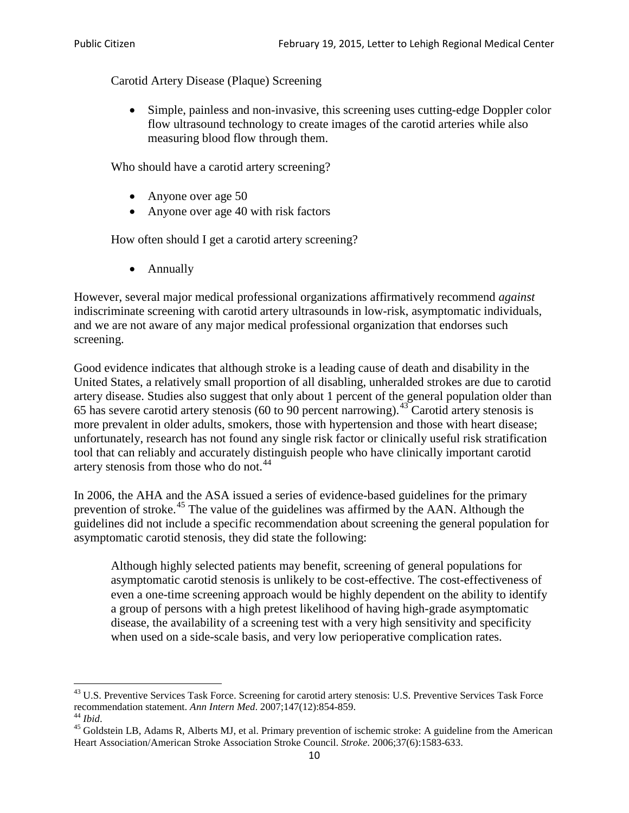Carotid Artery Disease (Plaque) Screening

• Simple, painless and non-invasive, this screening uses cutting-edge Doppler color flow ultrasound technology to create images of the carotid arteries while also measuring blood flow through them.

Who should have a carotid artery screening?

- Anyone over age 50
- Anyone over age 40 with risk factors

How often should I get a carotid artery screening?

• Annually

However, several major medical professional organizations affirmatively recommend *against* indiscriminate screening with carotid artery ultrasounds in low-risk, asymptomatic individuals, and we are not aware of any major medical professional organization that endorses such screening.

Good evidence indicates that although stroke is a leading cause of death and disability in the United States, a relatively small proportion of all disabling, unheralded strokes are due to carotid artery disease. Studies also suggest that only about 1 percent of the general population older than 65 has severe carotid artery stenosis (60 to 90 percent narrowing).<sup>[43](#page-9-0)</sup> Carotid artery stenosis is more prevalent in older adults, smokers, those with hypertension and those with heart disease; unfortunately, research has not found any single risk factor or clinically useful risk stratification tool that can reliably and accurately distinguish people who have clinically important carotid artery stenosis from those who do not.<sup>[44](#page-9-1)</sup>

In 2006, the AHA and the ASA issued a series of evidence-based guidelines for the primary prevention of stroke.<sup>[45](#page-9-2)</sup> The value of the guidelines was affirmed by the AAN. Although the guidelines did not include a specific recommendation about screening the general population for asymptomatic carotid stenosis, they did state the following:

Although highly selected patients may benefit, screening of general populations for asymptomatic carotid stenosis is unlikely to be cost-effective. The cost-effectiveness of even a one-time screening approach would be highly dependent on the ability to identify a group of persons with a high pretest likelihood of having high-grade asymptomatic disease, the availability of a screening test with a very high sensitivity and specificity when used on a side-scale basis, and very low perioperative complication rates.

<span id="page-9-0"></span> $^{43}$  U.S. Preventive Services Task Force. Screening for carotid artery stenosis: U.S. Preventive Services Task Force recommendation statement. Ann Intern Med. 2007;147(12):854-859.

<span id="page-9-2"></span>

<span id="page-9-1"></span><sup>&</sup>lt;sup>44</sup> *Ibid*. <sup>45</sup> Goldstein LB, Adams R, Alberts MJ, et al. Primary prevention of ischemic stroke: A guideline from the American <sup>45</sup> Goldstein LB, Adams R, Alberts MJ, et al. Primary prevention of ischemic stroke: A guide Heart Association/American Stroke Association Stroke Council. *Stroke*. 2006;37(6):1583-633.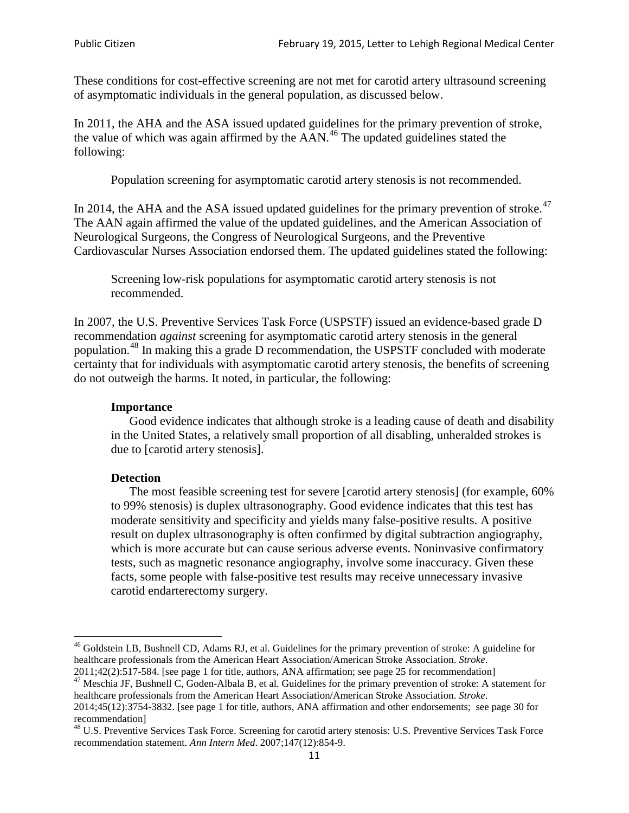These conditions for cost-effective screening are not met for carotid artery ultrasound screening of asymptomatic individuals in the general population, as discussed below.

In 2011, the AHA and the ASA issued updated guidelines for the primary prevention of stroke, the value of which was again affirmed by the  $AAN<sup>46</sup>$  $AAN<sup>46</sup>$  $AAN<sup>46</sup>$ . The updated guidelines stated the following:

Population screening for asymptomatic carotid artery stenosis is not recommended.

In 2014, the AHA and the ASA issued updated guidelines for the primary prevention of stroke.<sup>47</sup> The AAN again affirmed the value of the updated guidelines, and the American Association of Neurological Surgeons, the Congress of Neurological Surgeons, and the Preventive Cardiovascular Nurses Association endorsed them. The updated guidelines stated the following:

Screening low-risk populations for asymptomatic carotid artery stenosis is not recommended.

In 2007, the U.S. Preventive Services Task Force (USPSTF) issued an evidence-based grade D recommendation *against* screening for asymptomatic carotid artery stenosis in the general population.[48](#page-10-2) In making this a grade D recommendation, the USPSTF concluded with moderate certainty that for individuals with asymptomatic carotid artery stenosis, the benefits of screening do not outweigh the harms. It noted, in particular, the following:

# **Importance**

Good evidence indicates that although stroke is a leading cause of death and disability in the United States, a relatively small proportion of all disabling, unheralded strokes is due to [carotid artery stenosis].

# **Detection**

The most feasible screening test for severe [carotid artery stenosis] (for example, 60% to 99% stenosis) is duplex ultrasonography. Good evidence indicates that this test has moderate sensitivity and specificity and yields many false-positive results. A positive result on duplex ultrasonography is often confirmed by digital subtraction angiography, which is more accurate but can cause serious adverse events. Noninvasive confirmatory tests, such as magnetic resonance angiography, involve some inaccuracy. Given these facts, some people with false-positive test results may receive unnecessary invasive carotid endarterectomy surgery.

<span id="page-10-0"></span><sup>&</sup>lt;sup>46</sup> Goldstein LB, Bushnell CD, Adams RJ, et al. Guidelines for the primary prevention of stroke: A guideline for healthcare professionals from the American Heart Association/American Stroke Association. *Stroke*.<br>2011;42(2):517-584. [see page 1 for title, authors, ANA affirmation; see page 25 for recommendation]

<span id="page-10-1"></span><sup>&</sup>lt;sup>47</sup> Meschia JF, Bushnell C, Goden-Albala B, et al. Guidelines for the primary prevention of stroke: A statement for healthcare professionals from the American Heart Association/American Stroke Association. *Stroke*. 2014;45(12):3754-3832. [see page 1 for title, authors, ANA affirmation and other endorsements; see page 30 for

recommendation]

<span id="page-10-2"></span><sup>&</sup>lt;sup>48</sup> U.S. Preventive Services Task Force. Screening for carotid artery stenosis: U.S. Preventive Services Task Force recommendation statement. *Ann Intern Med*. 2007;147(12):854-9.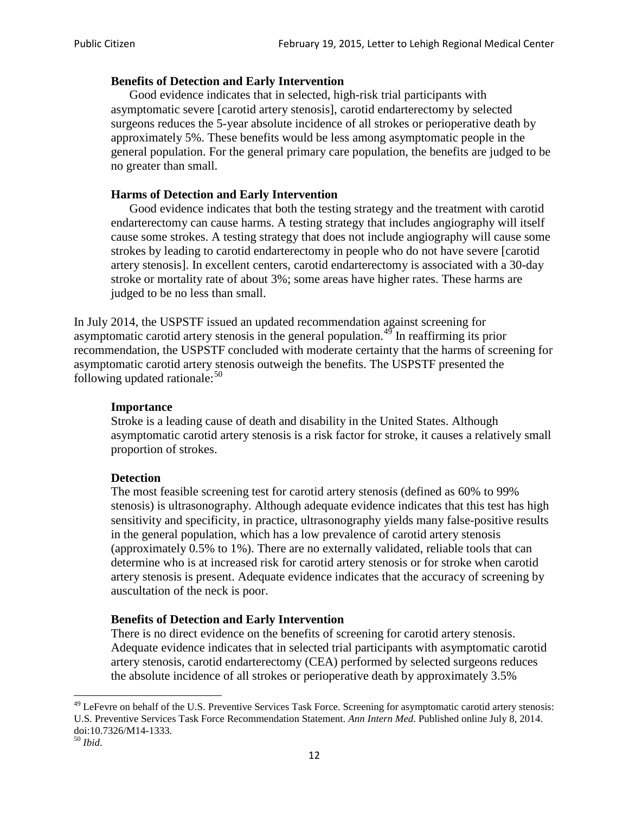#### **Benefits of Detection and Early Intervention**

Good evidence indicates that in selected, high-risk trial participants with asymptomatic severe [carotid artery stenosis], carotid endarterectomy by selected surgeons reduces the 5-year absolute incidence of all strokes or perioperative death by approximately 5%. These benefits would be less among asymptomatic people in the general population. For the general primary care population, the benefits are judged to be no greater than small.

### **Harms of Detection and Early Intervention**

Good evidence indicates that both the testing strategy and the treatment with carotid endarterectomy can cause harms. A testing strategy that includes angiography will itself cause some strokes. A testing strategy that does not include angiography will cause some strokes by leading to carotid endarterectomy in people who do not have severe [carotid artery stenosis]. In excellent centers, carotid endarterectomy is associated with a 30-day stroke or mortality rate of about 3%; some areas have higher rates. These harms are judged to be no less than small.

In July 2014, the USPSTF issued an updated recommendation against screening for asymptomatic carotid artery stenosis in the general population.<sup>[49](#page-11-0)</sup> In reaffirming its prior recommendation, the USPSTF concluded with moderate certainty that the harms of screening for asymptomatic carotid artery stenosis outweigh the benefits. The USPSTF presented the following updated rationale: $50$ 

#### **Importance**

Stroke is a leading cause of death and disability in the United States. Although asymptomatic carotid artery stenosis is a risk factor for stroke, it causes a relatively small proportion of strokes.

#### **Detection**

The most feasible screening test for carotid artery stenosis (defined as 60% to 99% stenosis) is ultrasonography. Although adequate evidence indicates that this test has high sensitivity and specificity, in practice, ultrasonography yields many false-positive results in the general population, which has a low prevalence of carotid artery stenosis (approximately 0.5% to 1%). There are no externally validated, reliable tools that can determine who is at increased risk for carotid artery stenosis or for stroke when carotid artery stenosis is present. Adequate evidence indicates that the accuracy of screening by auscultation of the neck is poor.

# **Benefits of Detection and Early Intervention**

There is no direct evidence on the benefits of screening for carotid artery stenosis. Adequate evidence indicates that in selected trial participants with asymptomatic carotid artery stenosis, carotid endarterectomy (CEA) performed by selected surgeons reduces the absolute incidence of all strokes or perioperative death by approximately 3.5%

<span id="page-11-0"></span><sup>&</sup>lt;sup>49</sup> LeFevre on behalf of the U.S. Preventive Services Task Force. Screening for asymptomatic carotid artery stenosis: U.S. Preventive Services Task Force Recommendation Statement. *Ann Intern Med*. Published online July 8, 2014. doi:10.7326/M14-1333. <sup>50</sup> *Ibid*.

<span id="page-11-1"></span>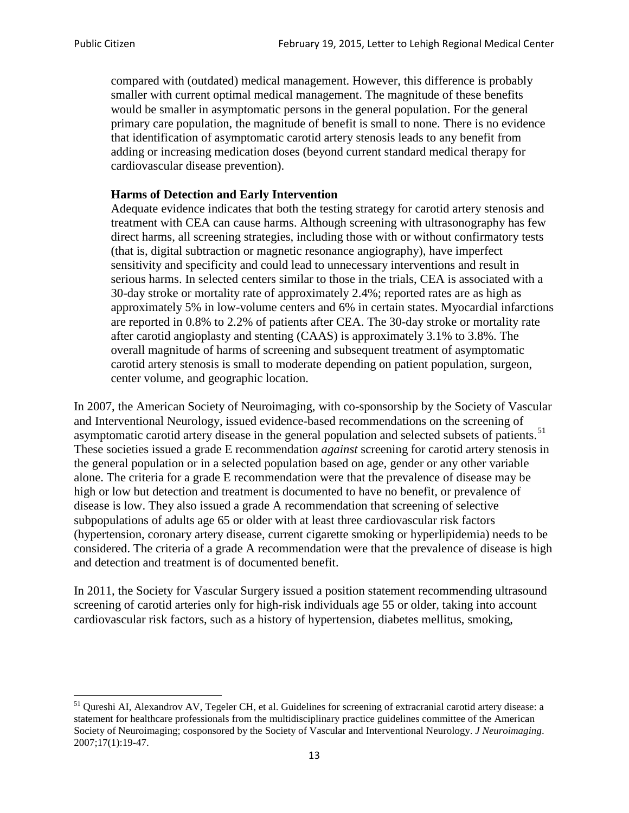compared with (outdated) medical management. However, this difference is probably smaller with current optimal medical management. The magnitude of these benefits would be smaller in asymptomatic persons in the general population. For the general primary care population, the magnitude of benefit is small to none. There is no evidence that identification of asymptomatic carotid artery stenosis leads to any benefit from adding or increasing medication doses (beyond current standard medical therapy for cardiovascular disease prevention).

### **Harms of Detection and Early Intervention**

Adequate evidence indicates that both the testing strategy for carotid artery stenosis and treatment with CEA can cause harms. Although screening with ultrasonography has few direct harms, all screening strategies, including those with or without confirmatory tests (that is, digital subtraction or magnetic resonance angiography), have imperfect sensitivity and specificity and could lead to unnecessary interventions and result in serious harms. In selected centers similar to those in the trials, CEA is associated with a 30-day stroke or mortality rate of approximately 2.4%; reported rates are as high as approximately 5% in low-volume centers and 6% in certain states. Myocardial infarctions are reported in 0.8% to 2.2% of patients after CEA. The 30-day stroke or mortality rate after carotid angioplasty and stenting (CAAS) is approximately 3.1% to 3.8%. The overall magnitude of harms of screening and subsequent treatment of asymptomatic carotid artery stenosis is small to moderate depending on patient population, surgeon, center volume, and geographic location.

In 2007, the American Society of Neuroimaging, with co-sponsorship by the Society of Vascular and Interventional Neurology, issued evidence-based recommendations on the screening of asymptomatic carotid artery disease in the general population and selected subsets of patients.<sup>[51](#page-12-0)</sup> These societies issued a grade E recommendation *against* screening for carotid artery stenosis in the general population or in a selected population based on age, gender or any other variable alone. The criteria for a grade E recommendation were that the prevalence of disease may be high or low but detection and treatment is documented to have no benefit, or prevalence of disease is low. They also issued a grade A recommendation that screening of selective subpopulations of adults age 65 or older with at least three cardiovascular risk factors (hypertension, coronary artery disease, current cigarette smoking or hyperlipidemia) needs to be considered. The criteria of a grade A recommendation were that the prevalence of disease is high and detection and treatment is of documented benefit.

In 2011, the Society for Vascular Surgery issued a position statement recommending ultrasound screening of carotid arteries only for high-risk individuals age 55 or older, taking into account cardiovascular risk factors, such as a history of hypertension, diabetes mellitus, smoking,

<span id="page-12-0"></span><sup>&</sup>lt;sup>51</sup> Qureshi AI, Alexandrov AV, Tegeler CH, et al. Guidelines for screening of extracranial carotid artery disease: a statement for healthcare professionals from the multidisciplinary practice guidelines committee of the American Society of Neuroimaging; cosponsored by the Society of Vascular and Interventional Neurology. *J Neuroimaging*. 2007;17(1):19-47.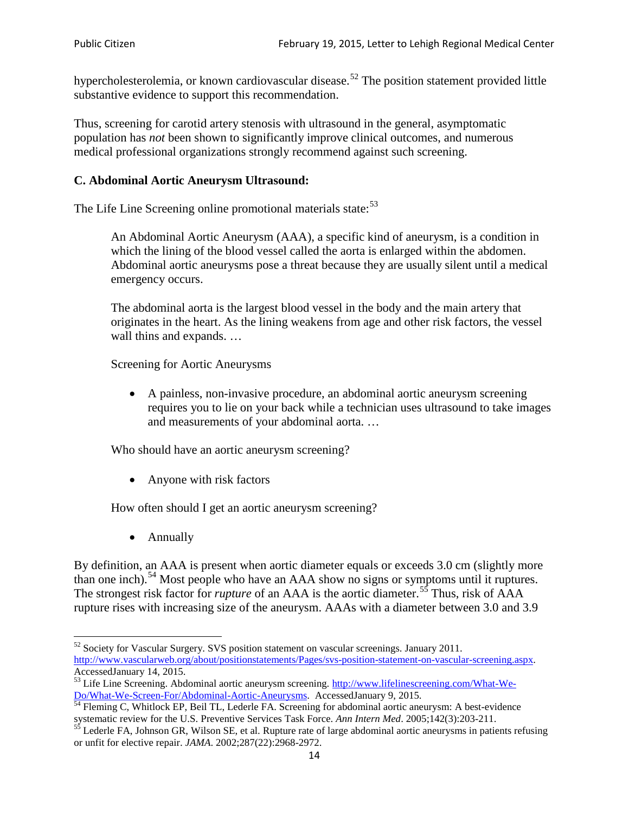hypercholesterolemia, or known cardiovascular disease.<sup>[52](#page-13-0)</sup> The position statement provided little substantive evidence to support this recommendation.

Thus, screening for carotid artery stenosis with ultrasound in the general, asymptomatic population has *not* been shown to significantly improve clinical outcomes, and numerous medical professional organizations strongly recommend against such screening.

# **C. Abdominal Aortic Aneurysm Ultrasound:**

The Life Line Screening online promotional materials state:<sup>[53](#page-13-1)</sup>

An Abdominal Aortic Aneurysm (AAA), a specific kind of aneurysm, is a condition in which the lining of the blood vessel called the aorta is enlarged within the abdomen. Abdominal aortic aneurysms pose a threat because they are usually silent until a medical emergency occurs.

The abdominal aorta is the largest blood vessel in the body and the main artery that originates in the heart. As the lining weakens from age and other risk factors, the vessel wall thins and expands. …

Screening for Aortic Aneurysms

• A painless, non-invasive procedure, an abdominal aortic aneurysm screening requires you to lie on your back while a technician uses ultrasound to take images and measurements of your abdominal aorta. …

Who should have an aortic aneurysm screening?

• Anyone with risk factors

How often should I get an aortic aneurysm screening?

• Annually

By definition, an AAA is present when aortic diameter equals or exceeds 3.0 cm (slightly more than one inch).<sup>[54](#page-13-2)</sup> Most people who have an AAA show no signs or symptoms until it ruptures. The strongest risk factor for *rupture* of an AAA is the aortic diameter.<sup>[55](#page-13-3)</sup> Thus, risk of AAA rupture rises with increasing size of the aneurysm. AAAs with a diameter between 3.0 and 3.9

<span id="page-13-0"></span> $52$  Society for Vascular Surgery. SVS position statement on vascular screenings. January 2011. http://www.vascularweb.org/about/positionstatements/Pages/svs-position-statement-on-vascular-screening.aspx.<br>Accessed January 14, 2015.

<span id="page-13-1"></span>Accessed January 14, 2015.<br>
Sa Life Line Screening. Abdominal aortic aneurysm screening. http://www.lifelinescreening.com/What-We-<br>
Do/What-We-Screen-For/Abdominal-Aortic-Aneurysms. Accessed January 9, 2015.

<span id="page-13-2"></span> $\frac{1}{54}$  Fleming C, Whitlock EP, Beil TL, Lederle FA. Screening for abdominal aortic aneurysm: A best-evidence systematic review for the U.S. Preventive Services Task Force. *Ann Intern Med.* 2005;142(3):203-211.<br><sup>55</sup> Lederle FA, Johnson GR, Wilson SE, et al. Rupture rate of large abdominal aortic aneurysms in patients refusing

<span id="page-13-3"></span>or unfit for elective repair. *JAMA*. 2002;287(22):2968-2972.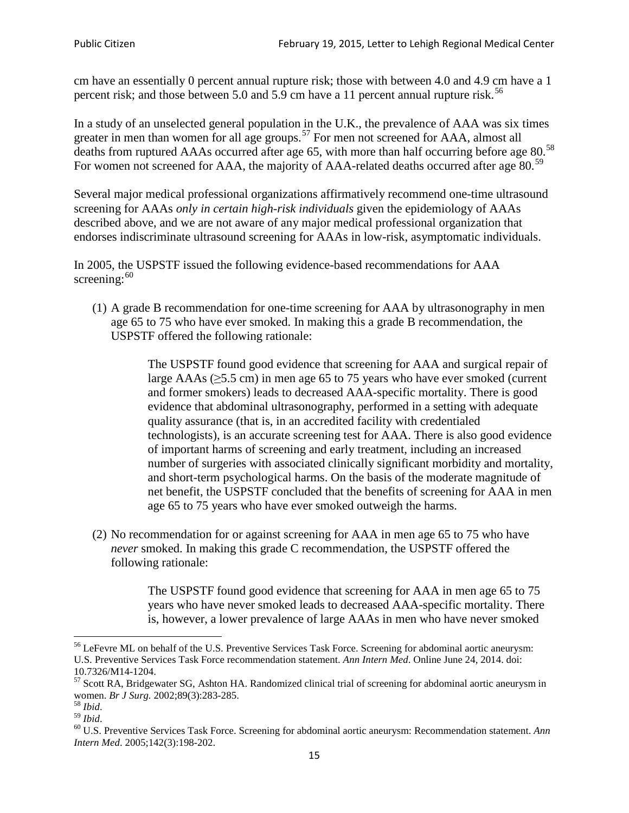cm have an essentially 0 percent annual rupture risk; those with between 4.0 and 4.9 cm have a 1 percent risk; and those between 5.0 and 5.9 cm have a 11 percent annual rupture risk.<sup>[56](#page-14-0)</sup>

In a study of an unselected general population in the U.K., the prevalence of AAA was six times greater in men than women for all age groups.<sup>[57](#page-14-1)</sup> For men not screened for  $AAA$ , almost all deaths from ruptured AAAs occurred after age 65, with more than half occurring before age 80.<sup>[58](#page-14-2)</sup> For women not screened for AAA, the majority of AAA-related deaths occurred after age 80.<sup>[59](#page-14-3)</sup>

Several major medical professional organizations affirmatively recommend one-time ultrasound screening for AAAs *only in certain high-risk individuals* given the epidemiology of AAAs described above, and we are not aware of any major medical professional organization that endorses indiscriminate ultrasound screening for AAAs in low-risk, asymptomatic individuals.

In 2005, the USPSTF issued the following evidence-based recommendations for AAA screening:  $60$ 

(1) A grade B recommendation for one-time screening for AAA by ultrasonography in men age 65 to 75 who have ever smoked. In making this a grade [B recommendation,](http://www.uspreventiveservicestaskforce.org/uspstf/gradespre.htm#brec) the USPSTF offered the following rationale:

> The USPSTF found good evidence that screening for AAA and surgical repair of large AAAs ( $\geq$ 5.5 cm) in men age 65 to 75 years who have ever smoked (current and former smokers) leads to decreased AAA-specific mortality. There is good evidence that abdominal ultrasonography, performed in a setting with adequate quality assurance (that is, in an accredited facility with credentialed technologists), is an accurate screening test for AAA. There is also good evidence of important harms of screening and early treatment, including an increased number of surgeries with associated clinically significant morbidity and mortality, and short-term psychological harms. On the basis of the moderate magnitude of net benefit, the USPSTF concluded that the benefits of screening for AAA in men age 65 to 75 years who have ever smoked outweigh the harms.

(2) No recommendation for or against screening for AAA in men age 65 to 75 who have *never* smoked. In making this grade C recommendation, the USPSTF offered the following rationale:

> The USPSTF found good evidence that screening for AAA in men age 65 to 75 years who have never smoked leads to decreased AAA-specific mortality. There is, however, a lower prevalence of large AAAs in men who have never smoked

<span id="page-14-0"></span><sup>&</sup>lt;sup>56</sup> LeFevre ML on behalf of the U.S. Preventive Services Task Force. Screening for abdominal aortic aneurysm: U.S. Preventive Services Task Force recommendation statement. *Ann Intern Med*. Online June 24, 2014. doi:

<span id="page-14-1"></span><sup>10.7326/</sup>M14-1204.<br> $57$  Scott RA, Bridgewater SG, Ashton HA. Randomized clinical trial of screening for abdominal aortic aneurysm in women. *Br J Surg.* 2002;89(3):283-285.

<span id="page-14-4"></span><span id="page-14-3"></span>

<span id="page-14-2"></span><sup>&</sup>lt;sup>58</sup> *Ibid.*<br><sup>59</sup> *Ibid.* 2002;<br><sup>60</sup> U.S. Preventive Services Task Force. Screening for abdominal aortic aneurysm: Recommendation statement. *Ann Intern Med*. 2005;142(3):198-202.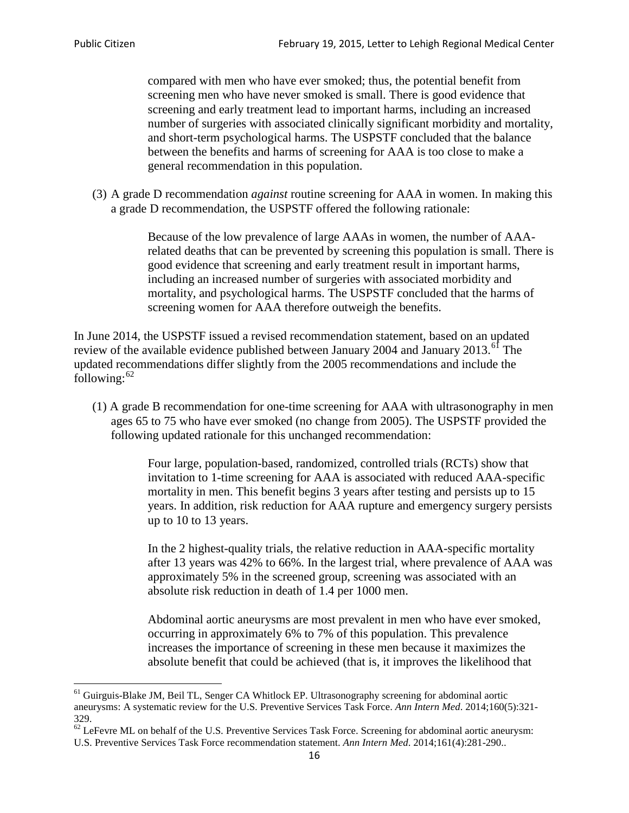compared with men who have ever smoked; thus, the potential benefit from screening men who have never smoked is small. There is good evidence that screening and early treatment lead to important harms, including an increased number of surgeries with associated clinically significant morbidity and mortality, and short-term psychological harms. The USPSTF concluded that the balance between the benefits and harms of screening for AAA is too close to make a general recommendation in this population.

(3) A grade D recommendation *against* routine screening for AAA in women. In making this a grade D recommendation, the USPSTF offered the following rationale:

> Because of the low prevalence of large AAAs in women, the number of AAArelated deaths that can be prevented by screening this population is small. There is good evidence that screening and early treatment result in important harms, including an increased number of surgeries with associated morbidity and mortality, and psychological harms. The USPSTF concluded that the harms of screening women for AAA therefore outweigh the benefits.

In June 2014, the USPSTF issued a revised recommendation statement, based on an updated review of the available evidence published between January 2004 and January 2013.<sup>[61](#page-15-0)</sup> The updated recommendations differ slightly from the 2005 recommendations and include the following: $62$ 

(1) A grade B recommendation for one-time screening for AAA with ultrasonography in men ages 65 to 75 who have ever smoked (no change from 2005). The USPSTF provided the following updated rationale for this unchanged recommendation:

> Four large, population-based, randomized, controlled trials (RCTs) show that invitation to 1-time screening for AAA is associated with reduced AAA-specific mortality in men. This benefit begins 3 years after testing and persists up to 15 years. In addition, risk reduction for AAA rupture and emergency surgery persists up to 10 to 13 years.

> In the 2 highest-quality trials, the relative reduction in AAA-specific mortality after 13 years was 42% to 66%. In the largest trial, where prevalence of AAA was approximately 5% in the screened group, screening was associated with an absolute risk reduction in death of 1.4 per 1000 men.

Abdominal aortic aneurysms are most prevalent in men who have ever smoked, occurring in approximately 6% to 7% of this population. This prevalence increases the importance of screening in these men because it maximizes the absolute benefit that could be achieved (that is, it improves the likelihood that

<span id="page-15-0"></span><sup>61</sup> Guirguis-Blake JM, Beil TL, Senger CA Whitlock EP. Ultrasonography screening for abdominal aortic aneurysms: A systematic review for the U.S. Preventive Services Task Force. *Ann Intern Med*. 2014;160(5):321- 329.

<span id="page-15-1"></span> $62$  LeFevre ML on behalf of the U.S. Preventive Services Task Force. Screening for abdominal aortic aneurysm: U.S. Preventive Services Task Force recommendation statement. *Ann Intern Med*. 2014;161(4):281-290..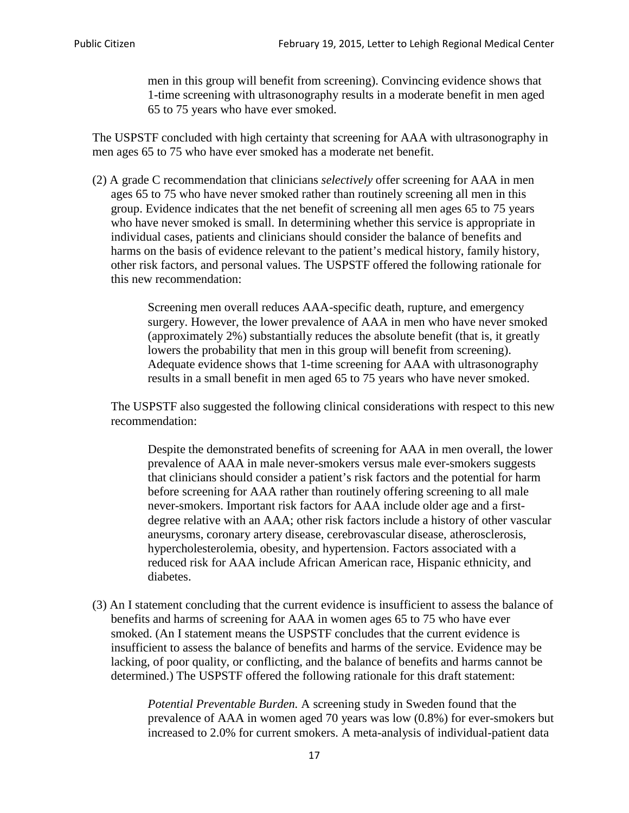men in this group will benefit from screening). Convincing evidence shows that 1-time screening with ultrasonography results in a moderate benefit in men aged 65 to 75 years who have ever smoked.

The USPSTF concluded with high certainty that screening for AAA with ultrasonography in men ages 65 to 75 who have ever smoked has a moderate net benefit.

(2) A grade C recommendation that clinicians *selectively* offer screening for AAA in men ages 65 to 75 who have never smoked rather than routinely screening all men in this group. Evidence indicates that the net benefit of screening all men ages 65 to 75 years who have never smoked is small. In determining whether this service is appropriate in individual cases, patients and clinicians should consider the balance of benefits and harms on the basis of evidence relevant to the patient's medical history, family history, other risk factors, and personal values. The USPSTF offered the following rationale for this new recommendation:

> Screening men overall reduces AAA-specific death, rupture, and emergency surgery. However, the lower prevalence of AAA in men who have never smoked (approximately 2%) substantially reduces the absolute benefit (that is, it greatly lowers the probability that men in this group will benefit from screening). Adequate evidence shows that 1-time screening for AAA with ultrasonography results in a small benefit in men aged 65 to 75 years who have never smoked.

The USPSTF also suggested the following clinical considerations with respect to this new recommendation:

Despite the demonstrated benefits of screening for AAA in men overall, the lower prevalence of AAA in male never-smokers versus male ever-smokers suggests that clinicians should consider a patient's risk factors and the potential for harm before screening for AAA rather than routinely offering screening to all male never-smokers. Important risk factors for AAA include older age and a firstdegree relative with an AAA; other risk factors include a history of other vascular aneurysms, coronary artery disease, cerebrovascular disease, atherosclerosis, hypercholesterolemia, obesity, and hypertension. Factors associated with a reduced risk for AAA include African American race, Hispanic ethnicity, and diabetes.

(3) An I statement concluding that the current evidence is insufficient to assess the balance of benefits and harms of screening for AAA in women ages 65 to 75 who have ever smoked. (An I statement means the USPSTF concludes that the current evidence is insufficient to assess the balance of benefits and harms of the service. Evidence may be lacking, of poor quality, or conflicting, and the balance of benefits and harms cannot be determined.) The USPSTF offered the following rationale for this draft statement:

> *Potential Preventable Burden.* A screening study in Sweden found that the prevalence of AAA in women aged 70 years was low (0.8%) for ever-smokers but increased to 2.0% for current smokers. A meta-analysis of individual-patient data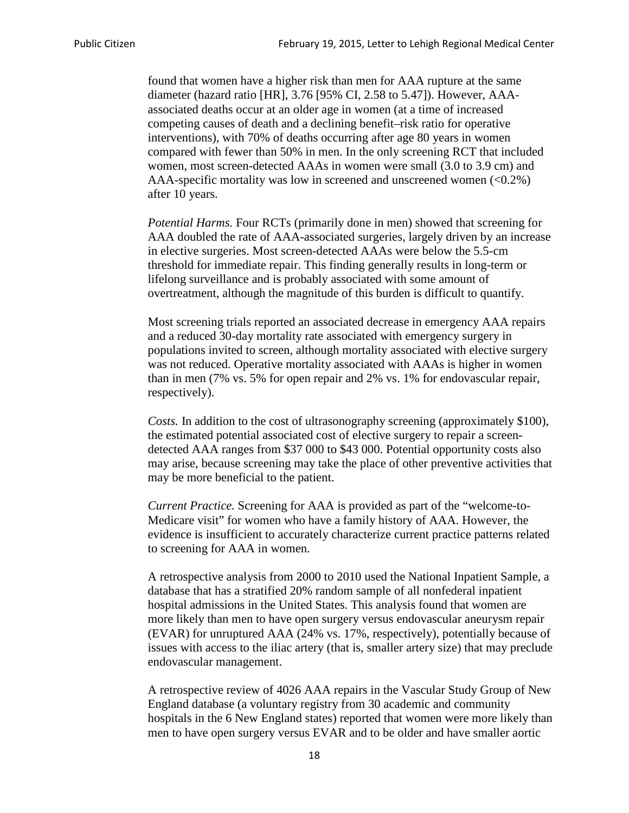found that women have a higher risk than men for AAA rupture at the same diameter (hazard ratio [HR], 3.76 [95% CI, 2.58 to 5.47]). However, AAAassociated deaths occur at an older age in women (at a time of increased competing causes of death and a declining benefit–risk ratio for operative interventions), with 70% of deaths occurring after age 80 years in women compared with fewer than 50% in men. In the only screening RCT that included women, most screen-detected AAAs in women were small (3.0 to 3.9 cm) and AAA-specific mortality was low in screened and unscreened women  $(<0.2\%)$ after 10 years.

*Potential Harms.* Four RCTs (primarily done in men) showed that screening for AAA doubled the rate of AAA-associated surgeries, largely driven by an increase in elective surgeries. Most screen-detected AAAs were below the 5.5-cm threshold for immediate repair. This finding generally results in long-term or lifelong surveillance and is probably associated with some amount of overtreatment, although the magnitude of this burden is difficult to quantify.

Most screening trials reported an associated decrease in emergency AAA repairs and a reduced 30-day mortality rate associated with emergency surgery in populations invited to screen, although mortality associated with elective surgery was not reduced. Operative mortality associated with AAAs is higher in women than in men (7% vs. 5% for open repair and 2% vs. 1% for endovascular repair, respectively).

*Costs.* In addition to the cost of ultrasonography screening (approximately \$100), the estimated potential associated cost of elective surgery to repair a screendetected AAA ranges from \$37 000 to \$43 000. Potential opportunity costs also may arise, because screening may take the place of other preventive activities that may be more beneficial to the patient.

*Current Practice.* Screening for AAA is provided as part of the "welcome-to-Medicare visit" for women who have a family history of AAA. However, the evidence is insufficient to accurately characterize current practice patterns related to screening for AAA in women.

A retrospective analysis from 2000 to 2010 used the National Inpatient Sample, a database that has a stratified 20% random sample of all nonfederal inpatient hospital admissions in the United States. This analysis found that women are more likely than men to have open surgery versus endovascular aneurysm repair (EVAR) for unruptured AAA (24% vs. 17%, respectively), potentially because of issues with access to the iliac artery (that is, smaller artery size) that may preclude endovascular management.

A retrospective review of 4026 AAA repairs in the Vascular Study Group of New England database (a voluntary registry from 30 academic and community hospitals in the 6 New England states) reported that women were more likely than men to have open surgery versus EVAR and to be older and have smaller aortic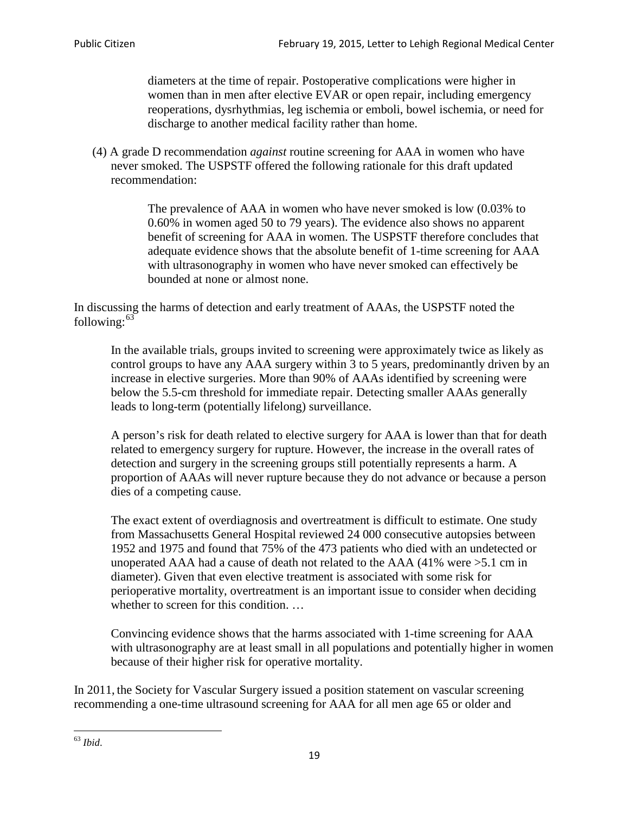diameters at the time of repair. Postoperative complications were higher in women than in men after elective EVAR or open repair, including emergency reoperations, dysrhythmias, leg ischemia or emboli, bowel ischemia, or need for discharge to another medical facility rather than home.

(4) A grade D recommendation *against* routine screening for AAA in women who have never smoked. The USPSTF offered the following rationale for this draft updated recommendation:

> The prevalence of AAA in women who have never smoked is low (0.03% to 0.60% in women aged 50 to 79 years). The evidence also shows no apparent benefit of screening for AAA in women. The USPSTF therefore concludes that adequate evidence shows that the absolute benefit of 1-time screening for AAA with ultrasonography in women who have never smoked can effectively be bounded at none or almost none.

In discussing the harms of detection and early treatment of AAAs, the USPSTF noted the following: $63$ 

In the available trials, groups invited to screening were approximately twice as likely as control groups to have any AAA surgery within 3 to 5 years, predominantly driven by an increase in elective surgeries. More than 90% of AAAs identified by screening were below the 5.5-cm threshold for immediate repair. Detecting smaller AAAs generally leads to long-term (potentially lifelong) surveillance.

A person's risk for death related to elective surgery for AAA is lower than that for death related to emergency surgery for rupture. However, the increase in the overall rates of detection and surgery in the screening groups still potentially represents a harm. A proportion of AAAs will never rupture because they do not advance or because a person dies of a competing cause.

The exact extent of overdiagnosis and overtreatment is difficult to estimate. One study from Massachusetts General Hospital reviewed 24 000 consecutive autopsies between 1952 and 1975 and found that 75% of the 473 patients who died with an undetected or unoperated AAA had a cause of death not related to the AAA (41% were >5.1 cm in diameter). Given that even elective treatment is associated with some risk for perioperative mortality, overtreatment is an important issue to consider when deciding whether to screen for this condition....

Convincing evidence shows that the harms associated with 1-time screening for AAA with ultrasonography are at least small in all populations and potentially higher in women because of their higher risk for operative mortality.

In 2011, the Society for Vascular Surgery issued a position statement on vascular screening recommending a one-time ultrasound screening for AAA for all men age 65 or older and

<span id="page-18-0"></span><sup>63</sup> *Ibid*.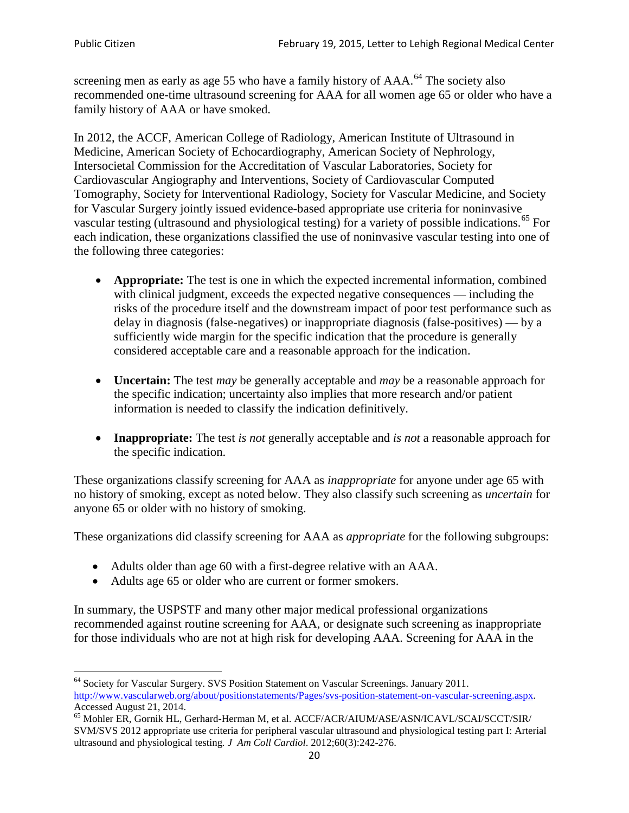screening men as early as age 55 who have a family history of AAA.<sup>[64](#page-19-0)</sup> The society also recommended one-time ultrasound screening for AAA for all women age 65 or older who have a family history of AAA or have smoked.

In 2012, the ACCF, American College of Radiology, American Institute of Ultrasound in Medicine, American Society of Echocardiography, American Society of Nephrology, Intersocietal Commission for the Accreditation of Vascular Laboratories, Society for Cardiovascular Angiography and Interventions, Society of Cardiovascular Computed Tomography, Society for Interventional Radiology, Society for Vascular Medicine, and Society for Vascular Surgery jointly issued evidence-based appropriate use criteria for noninvasive vascular testing (ultrasound and physiological testing) for a variety of possible indications.<sup>[65](#page-19-1)</sup> For each indication, these organizations classified the use of noninvasive vascular testing into one of the following three categories:

- **Appropriate:** The test is one in which the expected incremental information, combined with clinical judgment, exceeds the expected negative consequences — including the risks of the procedure itself and the downstream impact of poor test performance such as delay in diagnosis (false-negatives) or inappropriate diagnosis (false-positives) — by a sufficiently wide margin for the specific indication that the procedure is generally considered acceptable care and a reasonable approach for the indication.
- **Uncertain:** The test *may* be generally acceptable and *may* be a reasonable approach for the specific indication; uncertainty also implies that more research and/or patient information is needed to classify the indication definitively.
- **Inappropriate:** The test *is not* generally acceptable and *is not* a reasonable approach for the specific indication.

These organizations classify screening for AAA as *inappropriate* for anyone under age 65 with no history of smoking, except as noted below. They also classify such screening as *uncertain* for anyone 65 or older with no history of smoking.

These organizations did classify screening for AAA as *appropriate* for the following subgroups:

- Adults older than age 60 with a first-degree relative with an AAA.
- Adults age 65 or older who are current or former smokers.

In summary, the USPSTF and many other major medical professional organizations recommended against routine screening for AAA, or designate such screening as inappropriate for those individuals who are not at high risk for developing AAA. Screening for AAA in the

<span id="page-19-0"></span><sup>64</sup> Society for Vascular Surgery. SVS Position Statement on Vascular Screenings. January 2011. [http://www.vascularweb.org/about/positionstatements/Pages/svs-position-statement-on-vascular-screening.aspx.](http://www.vascularweb.org/about/positionstatements/Pages/svs-position-statement-on-vascular-screening.aspx) 

<span id="page-19-1"></span>Accessed August 21, 2014.<br><sup>65</sup> Mohler ER, Gornik HL, Gerhard-Herman M, et al. ACCF/ACR/AIUM/ASE/ASN/ICAVL/SCAI/SCCT/SIR/ SVM/SVS 2012 appropriate use criteria for peripheral vascular ultrasound and physiological testing part I: Arterial ultrasound and physiological testing*. J Am Coll Cardiol*. 2012;60(3):242-276.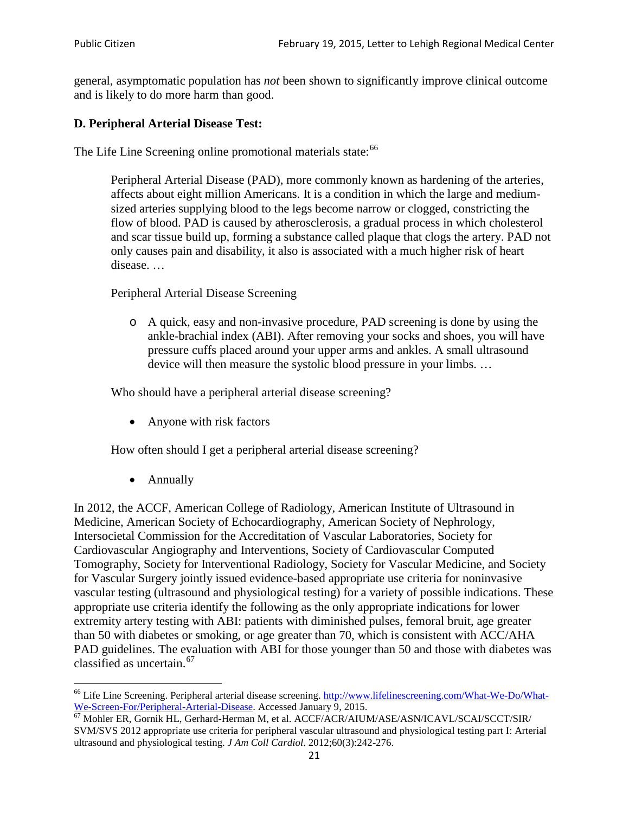general, asymptomatic population has *not* been shown to significantly improve clinical outcome and is likely to do more harm than good.

#### **D. Peripheral Arterial Disease Test:**

The Life Line Screening online promotional materials state:<sup>[66](#page-20-0)</sup>

Peripheral Arterial Disease (PAD), more commonly known as hardening of the arteries, affects about eight million Americans. It is a condition in which the large and mediumsized arteries supplying blood to the legs become narrow or clogged, constricting the flow of blood. PAD is caused by atherosclerosis, a gradual process in which cholesterol and scar tissue build up, forming a substance called plaque that clogs the artery. PAD not only causes pain and disability, it also is associated with a much higher risk of heart disease. …

Peripheral Arterial Disease Screening

o A quick, easy and non-invasive procedure, PAD screening is done by using the ankle-brachial index (ABI). After removing your socks and shoes, you will have pressure cuffs placed around your upper arms and ankles. A small ultrasound device will then measure the systolic blood pressure in your limbs. …

Who should have a peripheral arterial disease screening?

• Anyone with risk factors

How often should I get a peripheral arterial disease screening?

• Annually

In 2012, the ACCF, American College of Radiology, American Institute of Ultrasound in Medicine, American Society of Echocardiography, American Society of Nephrology, Intersocietal Commission for the Accreditation of Vascular Laboratories, Society for Cardiovascular Angiography and Interventions, Society of Cardiovascular Computed Tomography, Society for Interventional Radiology, Society for Vascular Medicine, and Society for Vascular Surgery jointly issued evidence-based appropriate use criteria for noninvasive vascular testing (ultrasound and physiological testing) for a variety of possible indications. These appropriate use criteria identify the following as the only appropriate indications for lower extremity artery testing with ABI: patients with diminished pulses, femoral bruit, age greater than 50 with diabetes or smoking, or age greater than 70, which is consistent with ACC/AHA PAD guidelines. The evaluation with ABI for those younger than 50 and those with diabetes was classified as uncertain.<sup>[67](#page-20-1)</sup>

<span id="page-20-0"></span><sup>&</sup>lt;sup>66</sup> Life Line Screening. Peripheral arterial disease screening. [http://www.lifelinescreening.com/What-We-Do/What-](http://www.lifelinescreening.com/What-We-Do/What-We-Screen-For/Peripheral-Arterial-Disease)[We-Screen-For/Peripheral-Arterial-Disease.](http://www.lifelinescreening.com/What-We-Do/What-We-Screen-For/Peripheral-Arterial-Disease) Accessed January 9, 2015.<br><sup>67</sup> Mohler ER, Gornik HL, Gerhard-Herman M, et al. ACCF/ACR/AIUM/ASE/ASN/ICAVL/SCAI/SCCT/SIR/

<span id="page-20-1"></span>SVM/SVS 2012 appropriate use criteria for peripheral vascular ultrasound and physiological testing part I: Arterial ultrasound and physiological testing. *J Am Coll Cardiol*. 2012;60(3):242-276.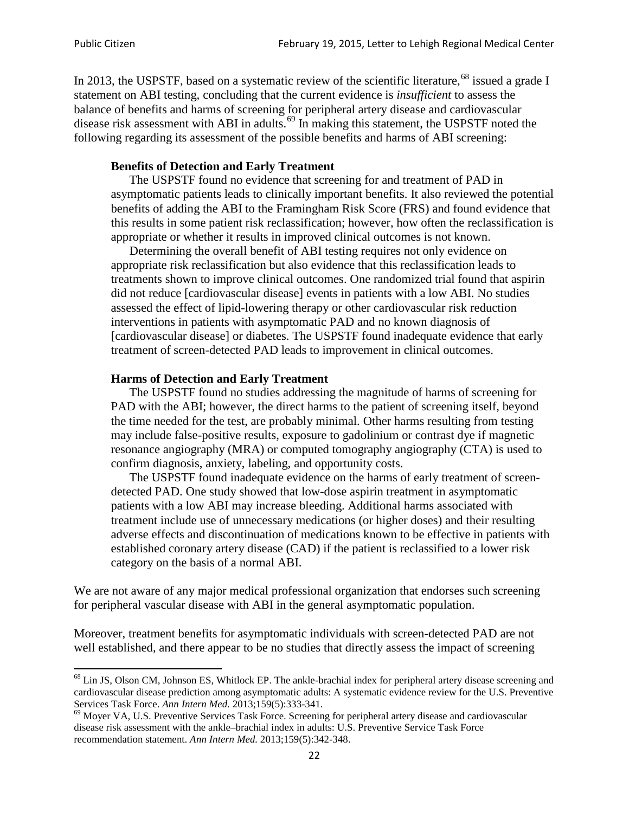In 2013, the USPSTF, based on a systematic review of the scientific literature,<sup>[68](#page-21-0)</sup> issued a grade I statement on ABI testing, concluding that the current evidence is *insufficient* to assess the balance of benefits and harms of screening for peripheral artery disease and cardiovascular disease risk assessment with ABI in adults.<sup>[69](#page-21-1)</sup> In making this statement, the USPSTF noted the following regarding its assessment of the possible benefits and harms of ABI screening:

#### **Benefits of Detection and Early Treatment**

The USPSTF found no evidence that screening for and treatment of PAD in asymptomatic patients leads to clinically important benefits. It also reviewed the potential benefits of adding the ABI to the Framingham Risk Score (FRS) and found evidence that this results in some patient risk reclassification; however, how often the reclassification is appropriate or whether it results in improved clinical outcomes is not known.

Determining the overall benefit of ABI testing requires not only evidence on appropriate risk reclassification but also evidence that this reclassification leads to treatments shown to improve clinical outcomes. One randomized trial found that aspirin did not reduce [cardiovascular disease] events in patients with a low ABI. No studies assessed the effect of lipid-lowering therapy or other cardiovascular risk reduction interventions in patients with asymptomatic PAD and no known diagnosis of [cardiovascular disease] or diabetes. The USPSTF found inadequate evidence that early treatment of screen-detected PAD leads to improvement in clinical outcomes.

#### **Harms of Detection and Early Treatment**

The USPSTF found no studies addressing the magnitude of harms of screening for PAD with the ABI; however, the direct harms to the patient of screening itself, beyond the time needed for the test, are probably minimal. Other harms resulting from testing may include false-positive results, exposure to gadolinium or contrast dye if magnetic resonance angiography (MRA) or computed tomography angiography (CTA) is used to confirm diagnosis, anxiety, labeling, and opportunity costs.

The USPSTF found inadequate evidence on the harms of early treatment of screendetected PAD. One study showed that low-dose aspirin treatment in asymptomatic patients with a low ABI may increase bleeding. Additional harms associated with treatment include use of unnecessary medications (or higher doses) and their resulting adverse effects and discontinuation of medications known to be effective in patients with established coronary artery disease (CAD) if the patient is reclassified to a lower risk category on the basis of a normal ABI.

We are not aware of any major medical professional organization that endorses such screening for peripheral vascular disease with ABI in the general asymptomatic population.

Moreover, treatment benefits for asymptomatic individuals with screen-detected PAD are not well established, and there appear to be no studies that directly assess the impact of screening

<span id="page-21-0"></span><sup>&</sup>lt;sup>68</sup> Lin JS, Olson CM, Johnson ES, Whitlock EP. The ankle-brachial index for peripheral artery disease screening and cardiovascular disease prediction among asymptomatic adults: A systematic evidence review for the U.S. Preventive Services Task Force. *Ann Intern Med.* 2013;159(5):333-341.<br><sup>69</sup> Moyer VA, U.S. Preventive Services Task Force. Screening for peripheral artery disease and cardiovascular

<span id="page-21-1"></span>disease risk assessment with the ankle–brachial index in adults: U.S. Preventive Service Task Force recommendation statement. *Ann Intern Med.* 2013;159(5):342-348.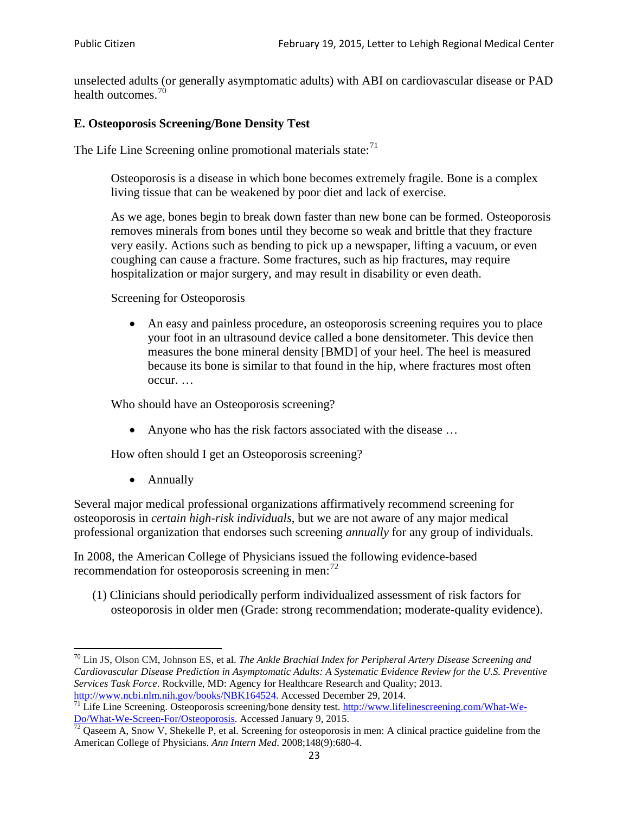unselected adults (or generally asymptomatic adults) with ABI on cardiovascular disease or PAD health outcomes.<sup>[70](#page-22-0)</sup>

# **E. Osteoporosis Screening/Bone Density Test**

The Life Line Screening online promotional materials state: $71$ 

Osteoporosis is a disease in which bone becomes extremely fragile. Bone is a complex living tissue that can be weakened by poor diet and lack of exercise.

As we age, bones begin to break down faster than new bone can be formed. Osteoporosis removes minerals from bones until they become so weak and brittle that they fracture very easily. Actions such as bending to pick up a newspaper, lifting a vacuum, or even coughing can cause a fracture. Some fractures, such as hip fractures, may require hospitalization or major surgery, and may result in disability or even death.

Screening for Osteoporosis

• An easy and painless procedure, an osteoporosis screening requires you to place your foot in an ultrasound device called a bone densitometer. This device then measures the bone mineral density [BMD] of your heel. The heel is measured because its bone is similar to that found in the hip, where fractures most often occur. …

Who should have an Osteoporosis screening?

• Anyone who has the risk factors associated with the disease ...

How often should I get an Osteoporosis screening?

• Annually

Several major medical professional organizations affirmatively recommend screening for osteoporosis in *certain high-risk individuals*, but we are not aware of any major medical professional organization that endorses such screening *annually* for any group of individuals.

In 2008, the American College of Physicians issued the following evidence-based recommendation for osteoporosis screening in men: $^{72}$  $^{72}$  $^{72}$ 

(1) Clinicians should periodically perform individualized assessment of risk factors for osteoporosis in older men (Grade: strong recommendation; moderate-quality evidence).

<span id="page-22-0"></span><sup>70</sup> [Lin JS,](http://www.ncbi.nlm.nih.gov/pubmed?term=Lin%20JS%5BAuthor%5D&cauthor=true&cauthor_uid=24156115) [Olson CM,](http://www.ncbi.nlm.nih.gov/pubmed?term=Olson%20CM%5BAuthor%5D&cauthor=true&cauthor_uid=24156115) [Johnson ES,](http://www.ncbi.nlm.nih.gov/pubmed?term=Johnson%20ES%5BAuthor%5D&cauthor=true&cauthor_uid=24156115) et al. *The Ankle Brachial Index for Peripheral Artery Disease Screening and Cardiovascular Disease Prediction in Asymptomatic Adults: A Systematic Evidence Review for the U.S. Preventive Services Task Force*. Rockville, MD: Agency for Healthcare Research and Quality; 2013.<br>http://www.ncbi.nlm.nih.gov/books/NBK164524. Accessed December 29, 2014.

<span id="page-22-1"></span> $\frac{1}{71}$  Life Line Screening. Osteoporosis screening/bone density test. [http://www.lifelinescreening.com/What-We-](http://www.lifelinescreening.com/What-We-Do/What-We-Screen-For/Osteoporosis) $\frac{Do/What-We-Screen-For/Osteoporosis}{72}$  Qaseem A, Snow V, Shekelle P, et al. Screening for osteoporosis in men: A clinical practice guideline from the

<span id="page-22-2"></span>American College of Physicians. *Ann Intern Med*. 2008;148(9):680-4.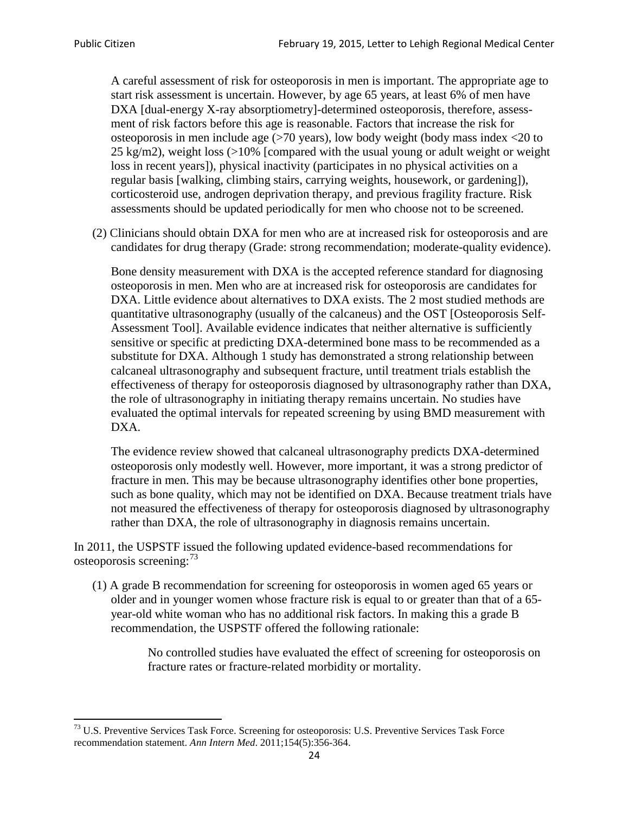A careful assessment of risk for osteoporosis in men is important. The appropriate age to start risk assessment is uncertain. However, by age 65 years, at least 6% of men have DXA [dual-energy X-ray absorptiometry]-determined osteoporosis, therefore, assessment of risk factors before this age is reasonable. Factors that increase the risk for osteoporosis in men include age (>70 years), low body weight (body mass index <20 to 25 kg/m2), weight loss (>10% [compared with the usual young or adult weight or weight loss in recent years]), physical inactivity (participates in no physical activities on a regular basis [walking, climbing stairs, carrying weights, housework, or gardening]), corticosteroid use, androgen deprivation therapy, and previous fragility fracture. Risk assessments should be updated periodically for men who choose not to be screened.

(2) Clinicians should obtain DXA for men who are at increased risk for osteoporosis and are candidates for drug therapy (Grade: strong recommendation; moderate-quality evidence).

Bone density measurement with DXA is the accepted reference standard for diagnosing osteoporosis in men. Men who are at increased risk for osteoporosis are candidates for DXA. Little evidence about alternatives to DXA exists. The 2 most studied methods are quantitative ultrasonography (usually of the calcaneus) and the OST [Osteoporosis Self-Assessment Tool]. Available evidence indicates that neither alternative is sufficiently sensitive or specific at predicting DXA-determined bone mass to be recommended as a substitute for DXA. Although 1 study has demonstrated a strong relationship between calcaneal ultrasonography and subsequent fracture, until treatment trials establish the effectiveness of therapy for osteoporosis diagnosed by ultrasonography rather than DXA, the role of ultrasonography in initiating therapy remains uncertain. No studies have evaluated the optimal intervals for repeated screening by using BMD measurement with DXA.

The evidence review showed that calcaneal ultrasonography predicts DXA-determined osteoporosis only modestly well. However, more important, it was a strong predictor of fracture in men. This may be because ultrasonography identifies other bone properties, such as bone quality, which may not be identified on DXA. Because treatment trials have not measured the effectiveness of therapy for osteoporosis diagnosed by ultrasonography rather than DXA, the role of ultrasonography in diagnosis remains uncertain.

In 2011, the USPSTF issued the following updated evidence-based recommendations for osteoporosis screening:<sup>[73](#page-23-0)</sup>

(1) A grade B recommendation for screening for osteoporosis in women aged 65 years or older and in younger women whose fracture risk is equal to or greater than that of a 65 year-old white woman who has no additional risk factors. In making this a grade B recommendation, the USPSTF offered the following rationale:

> No controlled studies have evaluated the effect of screening for osteoporosis on fracture rates or fracture-related morbidity or mortality.

<span id="page-23-0"></span><sup>&</sup>lt;sup>73</sup> U.S. Preventive Services Task Force. Screening for osteoporosis: U.S. Preventive Services Task Force recommendation statement. *Ann Intern Med*. 2011;154(5):356-364.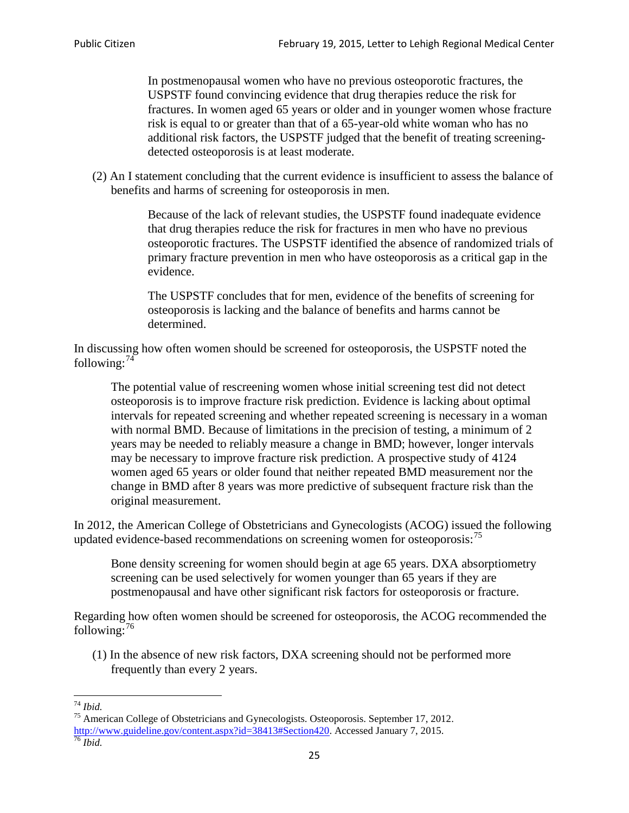In postmenopausal women who have no previous osteoporotic fractures, the USPSTF found convincing evidence that drug therapies reduce the risk for fractures. In women aged 65 years or older and in younger women whose fracture risk is equal to or greater than that of a 65-year-old white woman who has no additional risk factors, the USPSTF judged that the benefit of treating screeningdetected osteoporosis is at least moderate.

(2) An I statement concluding that the current evidence is insufficient to assess the balance of benefits and harms of screening for osteoporosis in men.

> Because of the lack of relevant studies, the USPSTF found inadequate evidence that drug therapies reduce the risk for fractures in men who have no previous osteoporotic fractures. The USPSTF identified the absence of randomized trials of primary fracture prevention in men who have osteoporosis as a critical gap in the evidence.

The USPSTF concludes that for men, evidence of the benefits of screening for osteoporosis is lacking and the balance of benefits and harms cannot be determined.

In discussing how often women should be screened for osteoporosis, the USPSTF noted the following: $74$ 

The potential value of rescreening women whose initial screening test did not detect osteoporosis is to improve fracture risk prediction. Evidence is lacking about optimal intervals for repeated screening and whether repeated screening is necessary in a woman with normal BMD. Because of limitations in the precision of testing, a minimum of 2 years may be needed to reliably measure a change in BMD; however, longer intervals may be necessary to improve fracture risk prediction. A prospective study of 4124 women aged 65 years or older found that neither repeated BMD measurement nor the change in BMD after 8 years was more predictive of subsequent fracture risk than the original measurement.

In 2012, the American College of Obstetricians and Gynecologists (ACOG) issued the following updated evidence-based recommendations on screening women for osteoporosis:<sup>[75](#page-24-1)</sup>

Bone density screening for women should begin at age 65 years. DXA absorptiometry screening can be used selectively for women younger than 65 years if they are postmenopausal and have other significant risk factors for osteoporosis or fracture.

Regarding how often women should be screened for osteoporosis, the ACOG recommended the following: $^{76}$  $^{76}$  $^{76}$ 

(1) In the absence of new risk factors, DXA screening should not be performed more frequently than every 2 years.

<span id="page-24-2"></span><span id="page-24-1"></span><span id="page-24-0"></span><sup>74</sup> *Ibid.* <sup>75</sup> American College of Obstetricians and Gynecologists. Osteoporosis. September 17, 2012. [http://www.guideline.gov/content.aspx?id=38413#Section420.](http://www.guideline.gov/content.aspx?id=38413#Section420) Accessed January 7, 2015.<br><sup>76</sup> *Ibid.*